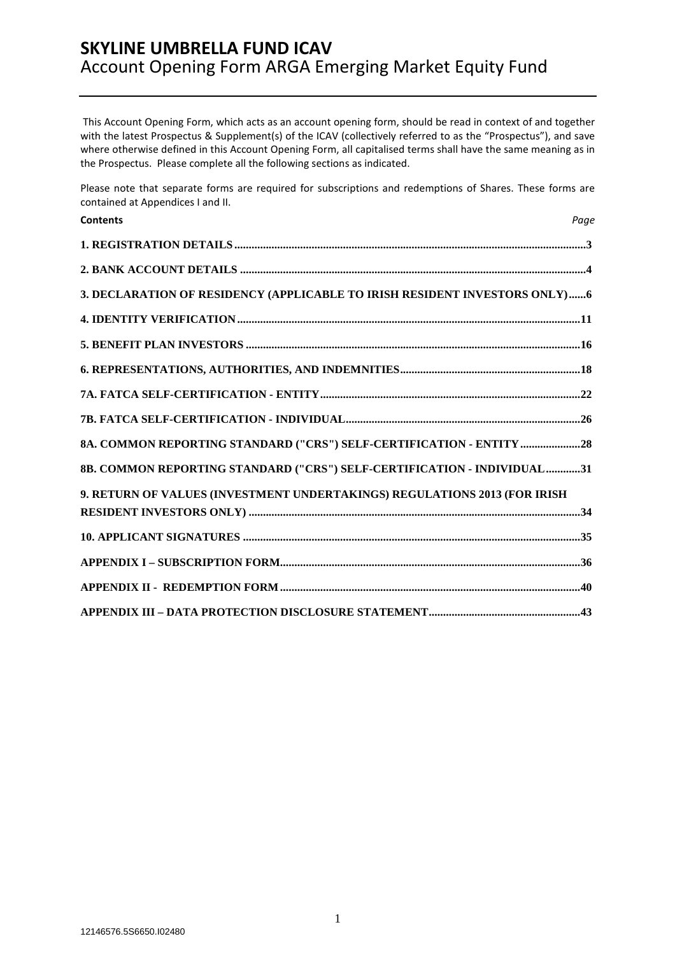This Account Opening Form, which acts as an account opening form, should be read in context of and together with the latest Prospectus & Supplement(s) of the ICAV (collectively referred to as the "Prospectus"), and save where otherwise defined in this Account Opening Form, all capitalised terms shall have the same meaning as in the Prospectus. Please complete all the following sections as indicated.

Please note that separate forms are required for subscriptions and redemptions of Shares. These forms are contained at Appendices I and II.

| <b>Contents</b>                                                            | Page |
|----------------------------------------------------------------------------|------|
|                                                                            |      |
|                                                                            |      |
| 3. DECLARATION OF RESIDENCY (APPLICABLE TO IRISH RESIDENT INVESTORS ONLY)6 |      |
|                                                                            |      |
|                                                                            |      |
|                                                                            |      |
|                                                                            |      |
|                                                                            |      |
| 8A. COMMON REPORTING STANDARD ("CRS") SELF-CERTIFICATION - ENTITY 28       |      |
| 8B. COMMON REPORTING STANDARD ("CRS") SELF-CERTIFICATION - INDIVIDUAL 31   |      |
| 9. RETURN OF VALUES (INVESTMENT UNDERTAKINGS) REGULATIONS 2013 (FOR IRISH  |      |
|                                                                            |      |
|                                                                            |      |
|                                                                            |      |
|                                                                            |      |
|                                                                            |      |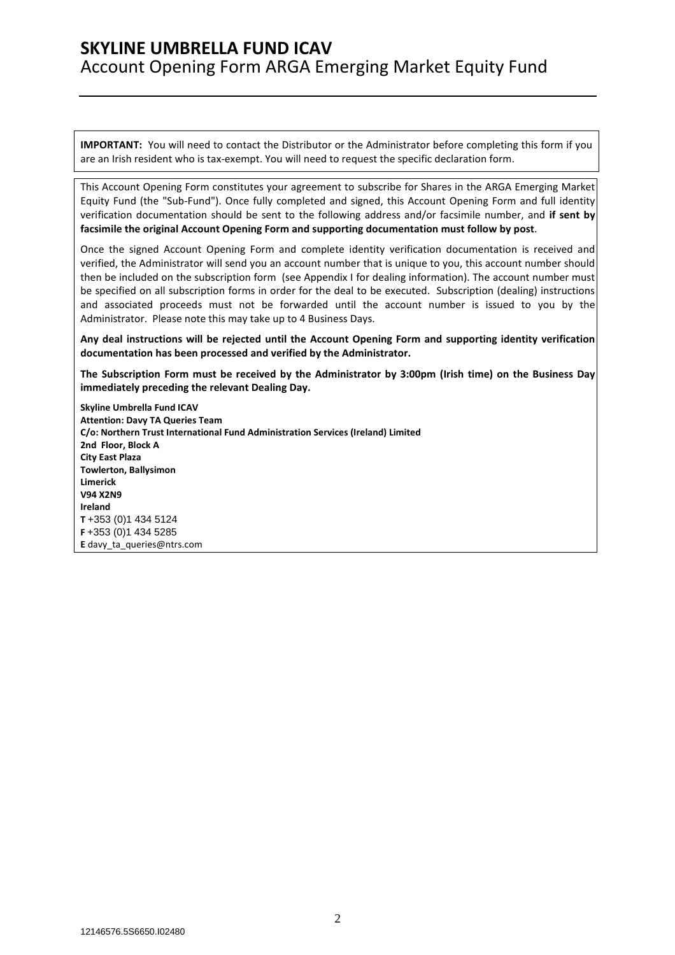**IMPORTANT:** You will need to contact the Distributor or the Administrator before completing this form if you are an Irish resident who is tax-exempt. You will need to request the specific declaration form.

This Account Opening Form constitutes your agreement to subscribe for Shares in the ARGA Emerging Market Equity Fund (the "Sub-Fund"). Once fully completed and signed, this Account Opening Form and full identity verification documentation should be sent to the following address and/or facsimile number, and **if sent by facsimile the original Account Opening Form and supporting documentation must follow by post**.

Once the signed Account Opening Form and complete identity verification documentation is received and verified, the Administrator will send you an account number that is unique to you, this account number should then be included on the subscription form (see Appendix I for dealing information). The account number must be specified on all subscription forms in order for the deal to be executed. Subscription (dealing) instructions and associated proceeds must not be forwarded until the account number is issued to you by the Administrator. Please note this may take up to 4 Business Days.

**Any deal instructions will be rejected until the Account Opening Form and supporting identity verification documentation has been processed and verified by the Administrator.** 

**The Subscription Form must be received by the Administrator by 3:00pm (Irish time) on the Business Day immediately preceding the relevant Dealing Day.** 

**Skyline Umbrella Fund ICAV Attention: Davy TA Queries Team C/o: Northern Trust International Fund Administration Services (Ireland) Limited 2nd Floor, Block A City East Plaza Towlerton, Ballysimon Limerick V94 X2N9 Ireland T** +353 (0)1 434 5124 **F** +353 (0)1 434 5285 **E** davy\_ta\_queries@ntrs.com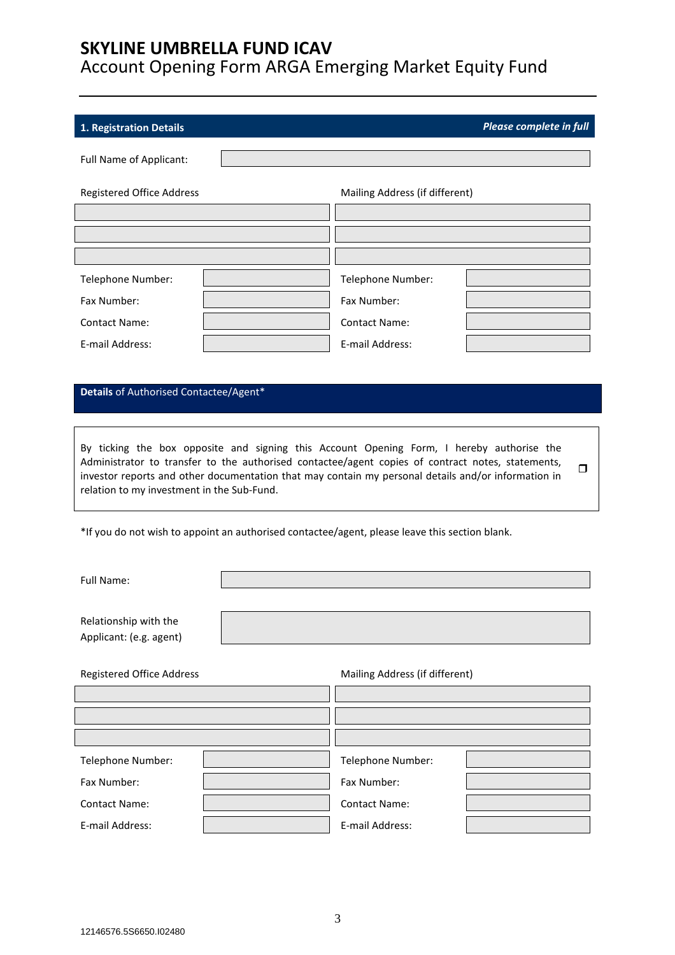# **1. Registration Details** *Please complete in full*  Full Name of Applicant: Registered Office Address Mailing Address (if different) Telephone Number:  $\begin{vmatrix} 1 & 1 & 1 \\ 1 & 1 & 1 \\ 1 & 1 & 1 \end{vmatrix}$  Telephone Number: Fax Number: Fax Number: Contact Name: Contact Name: E-mail Address: E-mail Address: **Details** of Authorised Contactee/Agent\* By ticking the box opposite and signing this Account Opening Form, I hereby authorise the Administrator to transfer to the authorised contactee/agent copies of contract notes, statements, investor reports and other documentation that may contain my personal details and/or information in relation to my investment in the Sub-Fund.  $\Box$ \*If you do not wish to appoint an authorised contactee/agent, please leave this section blank. Full Name: Relationship with the

| Registered Office Address | Mailing Address (if different) |  |
|---------------------------|--------------------------------|--|
|                           |                                |  |
|                           |                                |  |
|                           |                                |  |
| Telephone Number:         | Telephone Number:              |  |
| Fax Number:               | Fax Number:                    |  |
| <b>Contact Name:</b>      | <b>Contact Name:</b>           |  |
| E-mail Address:           | E-mail Address:                |  |

Applicant: (e.g. agent)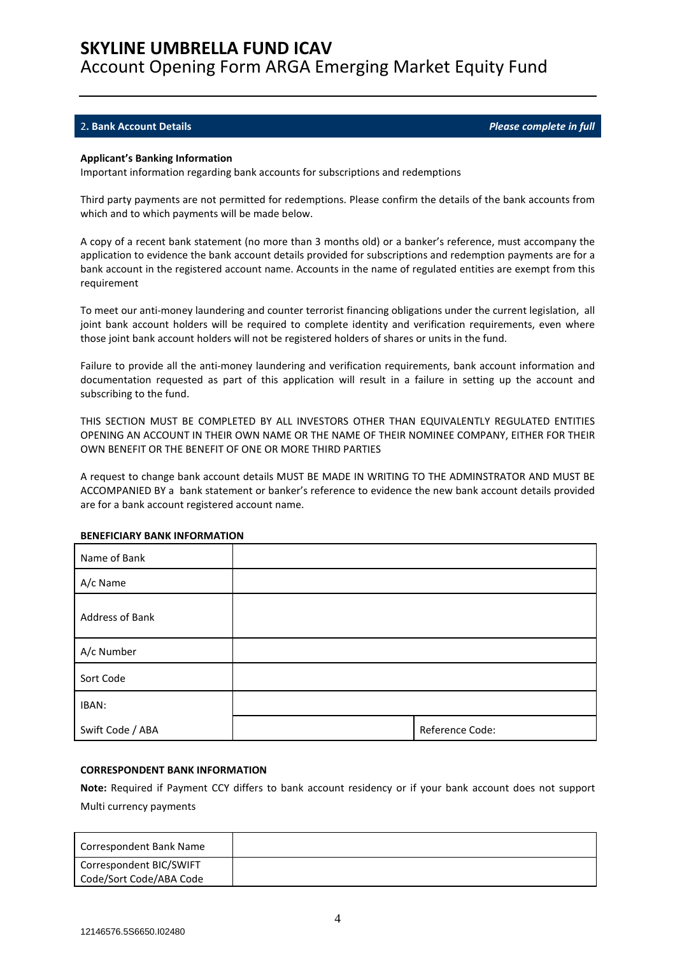### 2**. Bank Account Details** *Please complete in full*

#### **Applicant's Banking Information**

Important information regarding bank accounts for subscriptions and redemptions

Third party payments are not permitted for redemptions. Please confirm the details of the bank accounts from which and to which payments will be made below.

A copy of a recent bank statement (no more than 3 months old) or a banker's reference, must accompany the application to evidence the bank account details provided for subscriptions and redemption payments are for a bank account in the registered account name. Accounts in the name of regulated entities are exempt from this requirement

To meet our anti-money laundering and counter terrorist financing obligations under the current legislation, all joint bank account holders will be required to complete identity and verification requirements, even where those joint bank account holders will not be registered holders of shares or units in the fund.

Failure to provide all the anti-money laundering and verification requirements, bank account information and documentation requested as part of this application will result in a failure in setting up the account and subscribing to the fund.

THIS SECTION MUST BE COMPLETED BY ALL INVESTORS OTHER THAN EQUIVALENTLY REGULATED ENTITIES OPENING AN ACCOUNT IN THEIR OWN NAME OR THE NAME OF THEIR NOMINEE COMPANY, EITHER FOR THEIR OWN BENEFIT OR THE BENEFIT OF ONE OR MORE THIRD PARTIES

A request to change bank account details MUST BE MADE IN WRITING TO THE ADMINSTRATOR AND MUST BE ACCOMPANIED BY a bank statement or banker's reference to evidence the new bank account details provided are for a bank account registered account name.

| Name of Bank     |                 |
|------------------|-----------------|
| A/c Name         |                 |
| Address of Bank  |                 |
| A/c Number       |                 |
| Sort Code        |                 |
| IBAN:            |                 |
| Swift Code / ABA | Reference Code: |

#### **BENEFICIARY BANK INFORMATION**

#### **CORRESPONDENT BANK INFORMATION**

**Note:** Required if Payment CCY differs to bank account residency or if your bank account does not support Multi currency payments

| Correspondent Bank Name                            |  |
|----------------------------------------------------|--|
| Correspondent BIC/SWIFT<br>Code/Sort Code/ABA Code |  |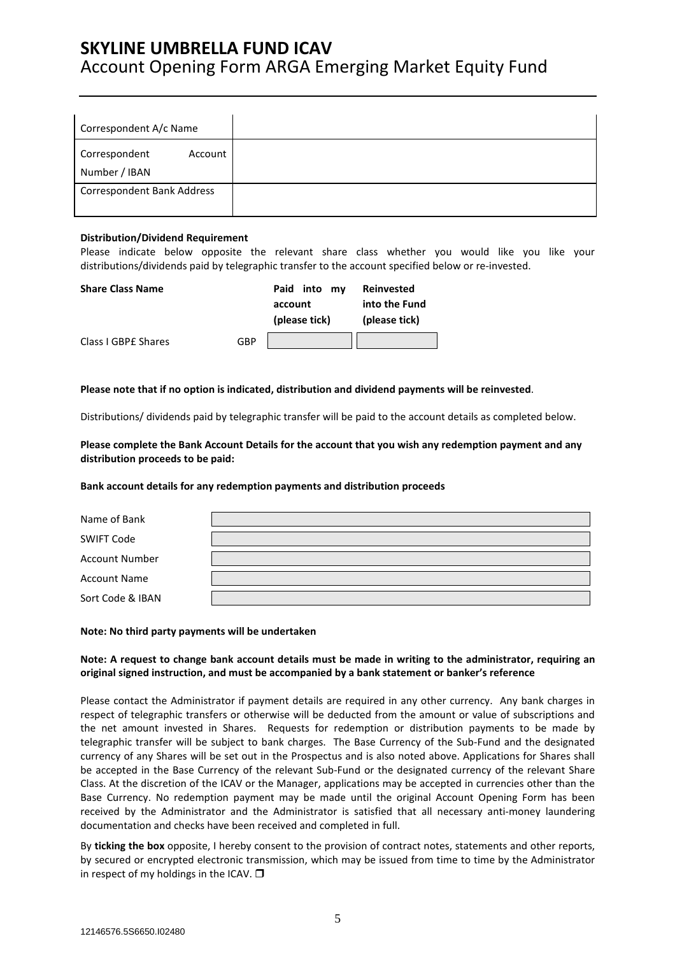| Correspondent A/c Name            |         |
|-----------------------------------|---------|
| Correspondent<br>Number / IBAN    | Account |
| <b>Correspondent Bank Address</b> |         |

### **Distribution/Dividend Requirement**

Please indicate below opposite the relevant share class whether you would like you like your distributions/dividends paid by telegraphic transfer to the account specified below or re-invested.

| <b>Share Class Name</b> |     | Paid<br>into<br>mv       | Reinvested                     |
|-------------------------|-----|--------------------------|--------------------------------|
|                         |     | account<br>(please tick) | into the Fund<br>(please tick) |
| Class I GBPE Shares     | GBP |                          |                                |

**Please note that if no option is indicated, distribution and dividend payments will be reinvested**.

Distributions/ dividends paid by telegraphic transfer will be paid to the account details as completed below.

**Please complete the Bank Account Details for the account that you wish any redemption payment and any distribution proceeds to be paid:** 

#### **Bank account details for any redemption payments and distribution proceeds**

| Name of Bank          |  |
|-----------------------|--|
| <b>SWIFT Code</b>     |  |
| <b>Account Number</b> |  |
| <b>Account Name</b>   |  |
| Sort Code & IBAN      |  |

#### **Note: No third party payments will be undertaken**

### **Note: A request to change bank account details must be made in writing to the administrator, requiring an original signed instruction, and must be accompanied by a bank statement or banker's reference**

Please contact the Administrator if payment details are required in any other currency. Any bank charges in respect of telegraphic transfers or otherwise will be deducted from the amount or value of subscriptions and the net amount invested in Shares. Requests for redemption or distribution payments to be made by telegraphic transfer will be subject to bank charges. The Base Currency of the Sub-Fund and the designated currency of any Shares will be set out in the Prospectus and is also noted above. Applications for Shares shall be accepted in the Base Currency of the relevant Sub-Fund or the designated currency of the relevant Share Class. At the discretion of the ICAV or the Manager, applications may be accepted in currencies other than the Base Currency. No redemption payment may be made until the original Account Opening Form has been received by the Administrator and the Administrator is satisfied that all necessary anti-money laundering documentation and checks have been received and completed in full.

By **ticking the box** opposite, I hereby consent to the provision of contract notes, statements and other reports, by secured or encrypted electronic transmission, which may be issued from time to time by the Administrator in respect of my holdings in the ICAV.  $\square$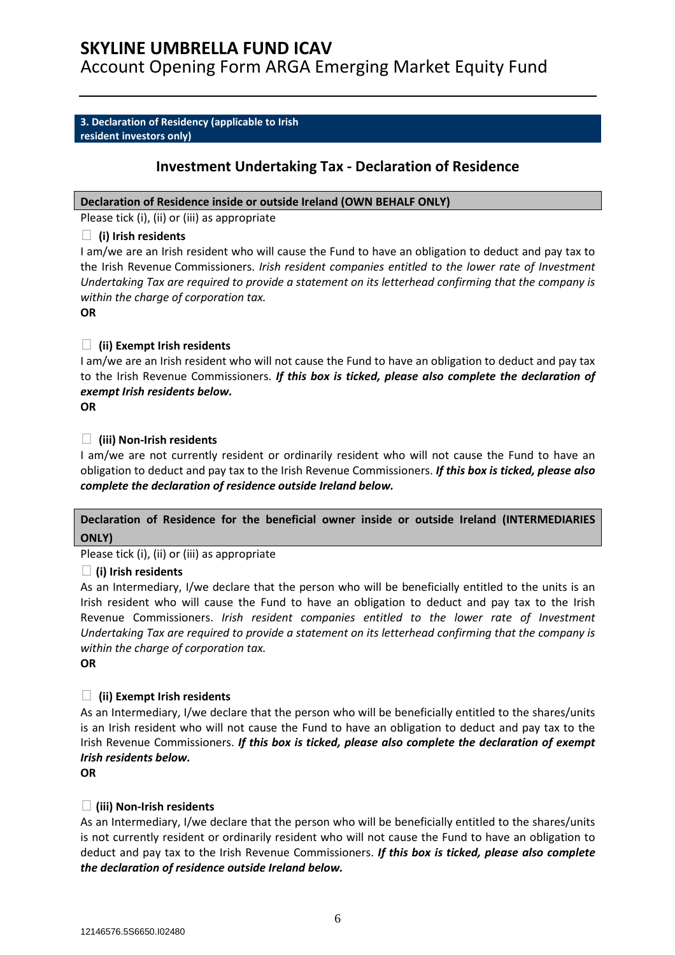### **SKYLINE UMBRELLA FUND ICAV**

Account Opening Form ARGA Emerging Market Equity Fund

### **3. Declaration of Residency (applicable to Irish resident investors only)**

### **Investment Undertaking Tax - Declaration of Residence**

### **Declaration of Residence inside or outside Ireland (OWN BEHALF ONLY)**

Please tick (i), (ii) or (iii) as appropriate

### **(i) Irish residents**

I am/we are an Irish resident who will cause the Fund to have an obligation to deduct and pay tax to the Irish Revenue Commissioners. *Irish resident companies entitled to the lower rate of Investment Undertaking Tax are required to provide a statement on its letterhead confirming that the company is within the charge of corporation tax.* 

**OR** 

### **(ii) Exempt Irish residents**

I am/we are an Irish resident who will not cause the Fund to have an obligation to deduct and pay tax to the Irish Revenue Commissioners. *If this box is ticked, please also complete the declaration of exempt Irish residents below.*

**OR** 

### **(iii) Non-Irish residents**

I am/we are not currently resident or ordinarily resident who will not cause the Fund to have an obligation to deduct and pay tax to the Irish Revenue Commissioners. *If this box is ticked, please also complete the declaration of residence outside Ireland below.*

### **Declaration of Residence for the beneficial owner inside or outside Ireland (INTERMEDIARIES ONLY)**

Please tick (i), (ii) or (iii) as appropriate

### **(i) Irish residents**

As an Intermediary, I/we declare that the person who will be beneficially entitled to the units is an Irish resident who will cause the Fund to have an obligation to deduct and pay tax to the Irish Revenue Commissioners. *Irish resident companies entitled to the lower rate of Investment Undertaking Tax are required to provide a statement on its letterhead confirming that the company is within the charge of corporation tax.* 

**OR** 

### **(ii) Exempt Irish residents**

As an Intermediary, I/we declare that the person who will be beneficially entitled to the shares/units is an Irish resident who will not cause the Fund to have an obligation to deduct and pay tax to the Irish Revenue Commissioners. *If this box is ticked, please also complete the declaration of exempt Irish residents below.*

**OR** 

### **(iii) Non-Irish residents**

As an Intermediary, I/we declare that the person who will be beneficially entitled to the shares/units is not currently resident or ordinarily resident who will not cause the Fund to have an obligation to deduct and pay tax to the Irish Revenue Commissioners. *If this box is ticked, please also complete the declaration of residence outside Ireland below.*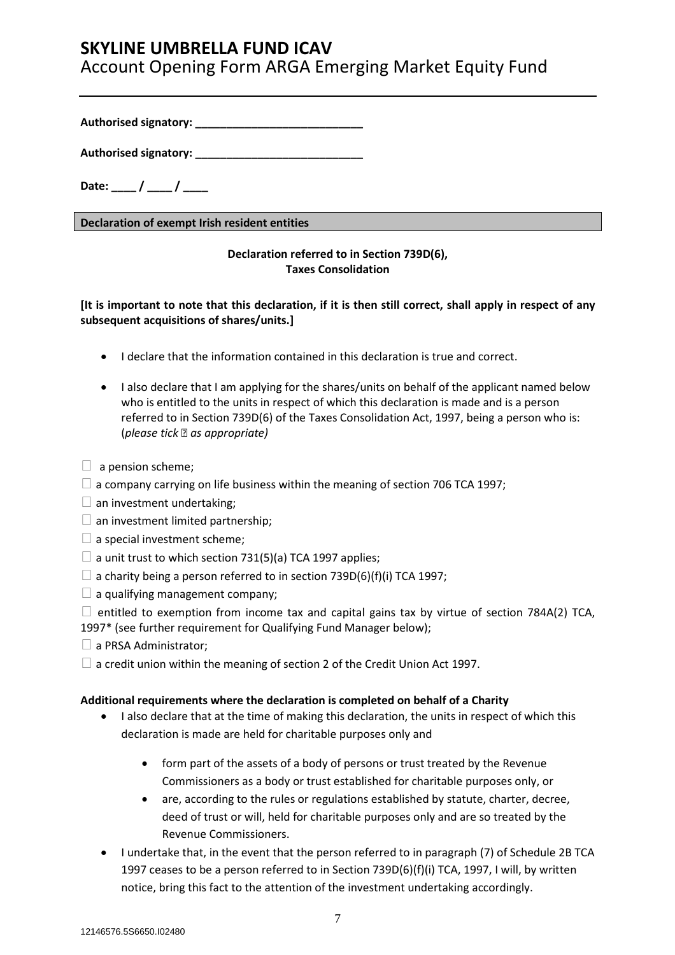### **SKYLINE UMBRELLA FUND ICAV**

Account Opening Form ARGA Emerging Market Equity Fund

**Authorised signatory: \_\_\_\_\_\_\_\_\_\_\_\_\_\_\_\_\_\_\_\_\_\_\_\_\_\_\_** 

**Authorised signatory: \_\_\_\_\_\_\_\_\_\_\_\_\_\_\_\_\_\_\_\_\_\_\_\_\_\_\_** 

Date: \_\_\_\_ / \_\_\_\_ / \_\_\_\_

**Declaration of exempt Irish resident entities**

### **Declaration referred to in Section 739D(6), Taxes Consolidation**

**[It is important to note that this declaration, if it is then still correct, shall apply in respect of any subsequent acquisitions of shares/units.]** 

- I declare that the information contained in this declaration is true and correct.
- I also declare that I am applying for the shares/units on behalf of the applicant named below who is entitled to the units in respect of which this declaration is made and is a person referred to in Section 739D(6) of the Taxes Consolidation Act, 1997, being a person who is: (*please tick as appropriate)*
- $\Box$  a pension scheme:
- $\Box$  a company carrying on life business within the meaning of section 706 TCA 1997;
- $\square$  an investment undertaking;
- $\Box$  an investment limited partnership;
- $\square$  a special investment scheme;
- $\Box$  a unit trust to which section 731(5)(a) TCA 1997 applies;
- $\Box$  a charity being a person referred to in section 739D(6)(f)(i) TCA 1997;
- $\Box$  a qualifying management company;
- $\Box$  entitled to exemption from income tax and capital gains tax by virtue of section 784A(2) TCA,
- 1997\* (see further requirement for Qualifying Fund Manager below);
- $\Box$  a PRSA Administrator:
- $\Box$  a credit union within the meaning of section 2 of the Credit Union Act 1997.

### **Additional requirements where the declaration is completed on behalf of a Charity**

- I also declare that at the time of making this declaration, the units in respect of which this declaration is made are held for charitable purposes only and
	- form part of the assets of a body of persons or trust treated by the Revenue Commissioners as a body or trust established for charitable purposes only, or
	- are, according to the rules or regulations established by statute, charter, decree, deed of trust or will, held for charitable purposes only and are so treated by the Revenue Commissioners.
- I undertake that, in the event that the person referred to in paragraph (7) of Schedule 2B TCA 1997 ceases to be a person referred to in Section 739D(6)(f)(i) TCA, 1997, I will, by written notice, bring this fact to the attention of the investment undertaking accordingly.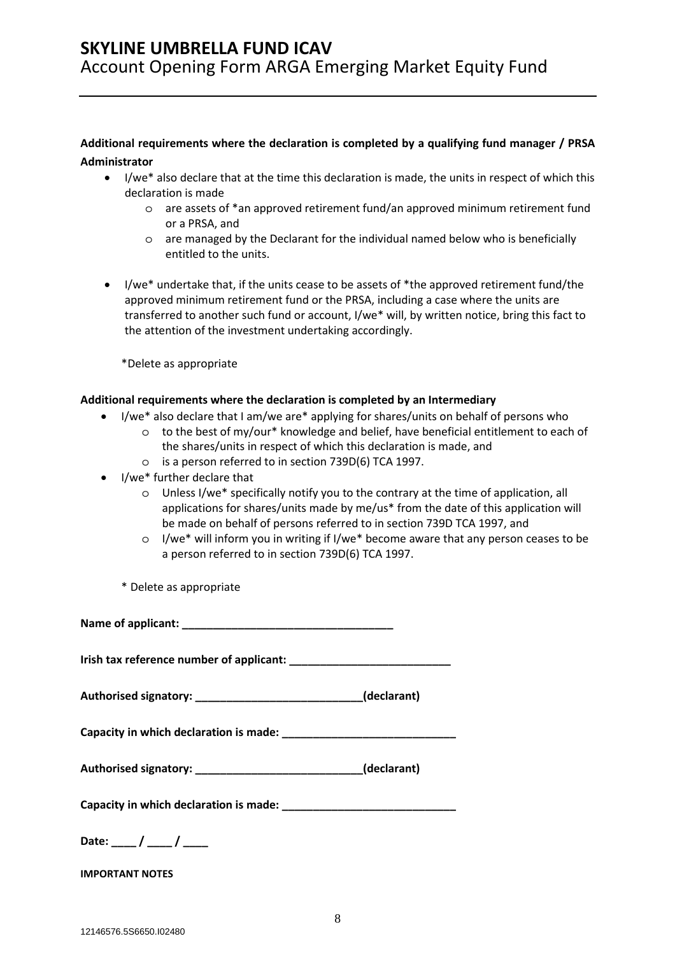### **Additional requirements where the declaration is completed by a qualifying fund manager / PRSA Administrator**

- I/we\* also declare that at the time this declaration is made, the units in respect of which this declaration is made
	- o are assets of \*an approved retirement fund/an approved minimum retirement fund or a PRSA, and
	- o are managed by the Declarant for the individual named below who is beneficially entitled to the units.
- I/we\* undertake that, if the units cease to be assets of \*the approved retirement fund/the approved minimum retirement fund or the PRSA, including a case where the units are transferred to another such fund or account, I/we\* will, by written notice, bring this fact to the attention of the investment undertaking accordingly.

\*Delete as appropriate

### **Additional requirements where the declaration is completed by an Intermediary**

- I/we\* also declare that I am/we are\* applying for shares/units on behalf of persons who
	- o to the best of my/our\* knowledge and belief, have beneficial entitlement to each of the shares/units in respect of which this declaration is made, and
	- o is a person referred to in section 739D(6) TCA 1997.
- I/we\* further declare that
	- o Unless I/we\* specifically notify you to the contrary at the time of application, all applications for shares/units made by me/us\* from the date of this application will be made on behalf of persons referred to in section 739D TCA 1997, and
	- o I/we\* will inform you in writing if I/we\* become aware that any person ceases to be a person referred to in section 739D(6) TCA 1997.

\* Delete as appropriate

**Name of applicant: \_\_\_\_\_\_\_\_\_\_\_\_\_\_\_\_\_\_\_\_\_\_\_\_\_\_\_\_\_\_\_\_\_\_** 

**Irish tax reference number of applicant: \_\_\_\_\_\_\_\_\_\_\_\_\_\_\_\_\_\_\_\_\_\_\_\_\_\_** 

**Authorised signatory: \_\_\_\_\_\_\_\_\_\_\_\_\_\_\_\_\_\_\_\_\_\_\_\_\_\_\_(declarant)** 

**Capacity in which declaration is made: \_\_\_\_\_\_\_\_\_\_\_\_\_\_\_\_\_\_\_\_\_\_\_\_\_\_\_\_** 

| Authorised signatory: | (declarant) |
|-----------------------|-------------|
|-----------------------|-------------|

**Capacity in which declaration is made: \_\_\_\_\_\_\_\_\_\_\_\_\_\_\_\_\_\_\_\_\_\_\_\_\_\_\_\_** 

| Date: |  |  |
|-------|--|--|
|-------|--|--|

**IMPORTANT NOTES**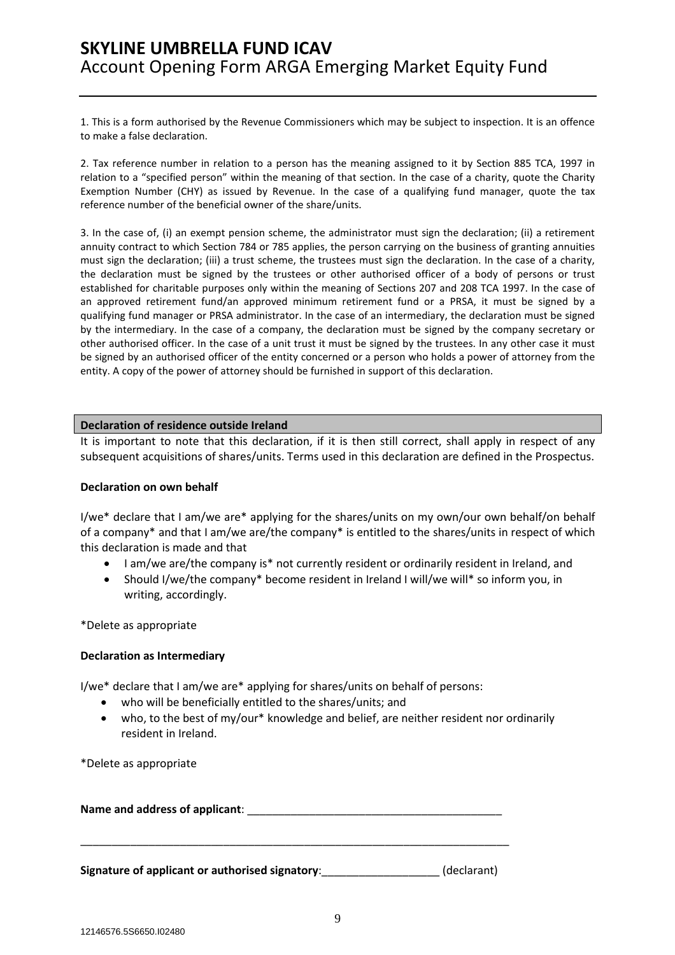1. This is a form authorised by the Revenue Commissioners which may be subject to inspection. It is an offence to make a false declaration.

2. Tax reference number in relation to a person has the meaning assigned to it by Section 885 TCA, 1997 in relation to a "specified person" within the meaning of that section. In the case of a charity, quote the Charity Exemption Number (CHY) as issued by Revenue. In the case of a qualifying fund manager, quote the tax reference number of the beneficial owner of the share/units.

3. In the case of, (i) an exempt pension scheme, the administrator must sign the declaration; (ii) a retirement annuity contract to which Section 784 or 785 applies, the person carrying on the business of granting annuities must sign the declaration; (iii) a trust scheme, the trustees must sign the declaration. In the case of a charity, the declaration must be signed by the trustees or other authorised officer of a body of persons or trust established for charitable purposes only within the meaning of Sections 207 and 208 TCA 1997. In the case of an approved retirement fund/an approved minimum retirement fund or a PRSA, it must be signed by a qualifying fund manager or PRSA administrator. In the case of an intermediary, the declaration must be signed by the intermediary. In the case of a company, the declaration must be signed by the company secretary or other authorised officer. In the case of a unit trust it must be signed by the trustees. In any other case it must be signed by an authorised officer of the entity concerned or a person who holds a power of attorney from the entity. A copy of the power of attorney should be furnished in support of this declaration.

### **Declaration of residence outside Ireland**

It is important to note that this declaration, if it is then still correct, shall apply in respect of any subsequent acquisitions of shares/units. Terms used in this declaration are defined in the Prospectus.

### **Declaration on own behalf**

I/we\* declare that I am/we are\* applying for the shares/units on my own/our own behalf/on behalf of a company\* and that I am/we are/the company\* is entitled to the shares/units in respect of which this declaration is made and that

- I am/we are/the company is\* not currently resident or ordinarily resident in Ireland, and
- Should I/we/the company\* become resident in Ireland I will/we will\* so inform you, in writing, accordingly.

\*Delete as appropriate

### **Declaration as Intermediary**

I/we\* declare that I am/we are\* applying for shares/units on behalf of persons:

- who will be beneficially entitled to the shares/units; and
- who, to the best of my/our\* knowledge and belief, are neither resident nor ordinarily resident in Ireland.

\*Delete as appropriate

Name and address of applicant:

\_\_\_\_\_\_\_\_\_\_\_\_\_\_\_\_\_\_\_\_\_\_\_\_\_\_\_\_\_\_\_\_\_\_\_\_\_\_\_\_\_\_\_\_\_\_\_\_\_\_\_\_\_\_\_\_\_\_\_\_\_\_\_\_\_\_\_\_\_

**Signature of applicant or authorised signatory**:\_\_\_\_\_\_\_\_\_\_\_\_\_\_\_\_\_\_\_ (declarant)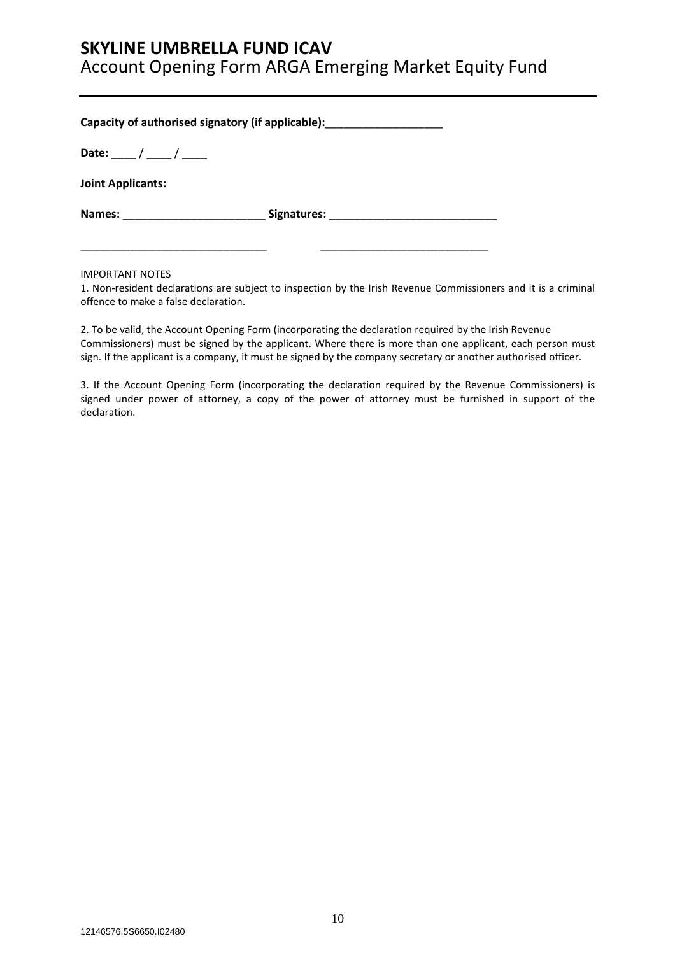### **SKYLINE UMBRELLA FUND ICAV**

Account Opening Form ARGA Emerging Market Equity Fund

| Capacity of authorised signatory (if applicable): ______________________________ |                                  |
|----------------------------------------------------------------------------------|----------------------------------|
| Date: ____/ ____/ ____                                                           |                                  |
| <b>Joint Applicants:</b>                                                         |                                  |
| Names: Names:                                                                    | Signatures: <u>www.alian.com</u> |
|                                                                                  |                                  |

IMPORTANT NOTES

1. Non-resident declarations are subject to inspection by the Irish Revenue Commissioners and it is a criminal offence to make a false declaration.

2. To be valid, the Account Opening Form (incorporating the declaration required by the Irish Revenue Commissioners) must be signed by the applicant. Where there is more than one applicant, each person must sign. If the applicant is a company, it must be signed by the company secretary or another authorised officer.

3. If the Account Opening Form (incorporating the declaration required by the Revenue Commissioners) is signed under power of attorney, a copy of the power of attorney must be furnished in support of the declaration.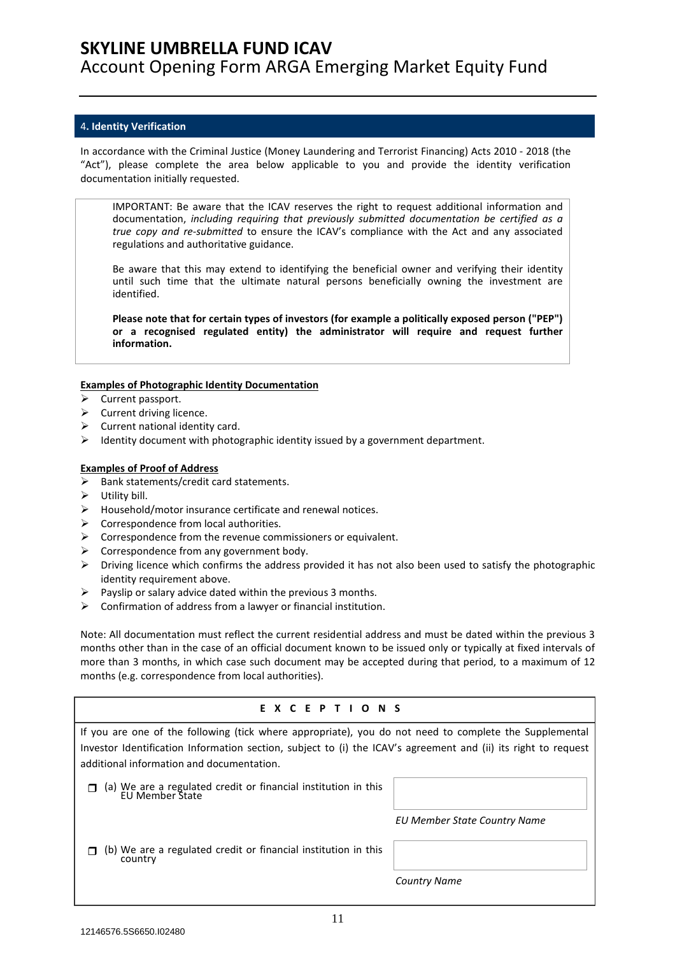### 4**. Identity Verification**

In accordance with the Criminal Justice (Money Laundering and Terrorist Financing) Acts 2010 - 2018 (the "Act"), please complete the area below applicable to you and provide the identity verification documentation initially requested.

IMPORTANT: Be aware that the ICAV reserves the right to request additional information and documentation, *including requiring that previously submitted documentation be certified as a true copy and re-submitted* to ensure the ICAV's compliance with the Act and any associated regulations and authoritative guidance.

Be aware that this may extend to identifying the beneficial owner and verifying their identity until such time that the ultimate natural persons beneficially owning the investment are identified.

**Please note that for certain types of investors (for example a politically exposed person ("PEP") or a recognised regulated entity) the administrator will require and request further information.** 

### **Examples of Photographic Identity Documentation**

- $\triangleright$  Current passport.
- $\triangleright$  Current driving licence.
- $\triangleright$  Current national identity card.
- $\triangleright$  Identity document with photographic identity issued by a government department.

### **Examples of Proof of Address**

- $\triangleright$  Bank statements/credit card statements.
- $\triangleright$  Utility bill.
- $\triangleright$  Household/motor insurance certificate and renewal notices.
- $\triangleright$  Correspondence from local authorities.
- $\triangleright$  Correspondence from the revenue commissioners or equivalent.
- $\triangleright$  Correspondence from any government body.
- $\triangleright$  Driving licence which confirms the address provided it has not also been used to satisfy the photographic identity requirement above.
- $\triangleright$  Payslip or salary advice dated within the previous 3 months.
- $\triangleright$  Confirmation of address from a lawyer or financial institution.

Note: All documentation must reflect the current residential address and must be dated within the previous 3 months other than in the case of an official document known to be issued only or typically at fixed intervals of more than 3 months, in which case such document may be accepted during that period, to a maximum of 12 months (e.g. correspondence from local authorities).

### **EXCEPTIONS**

| If you are one of the following (tick where appropriate), you do not need to complete the Supplemental<br>Investor Identification Information section, subject to (i) the ICAV's agreement and (ii) its right to request<br>additional information and documentation. |                              |
|-----------------------------------------------------------------------------------------------------------------------------------------------------------------------------------------------------------------------------------------------------------------------|------------------------------|
| (a) We are a regulated credit or financial institution in this<br><b>FU Member State</b>                                                                                                                                                                              |                              |
|                                                                                                                                                                                                                                                                       | EU Member State Country Name |
| (b) We are a regulated credit or financial institution in this<br>country                                                                                                                                                                                             |                              |
|                                                                                                                                                                                                                                                                       | <b>Country Name</b>          |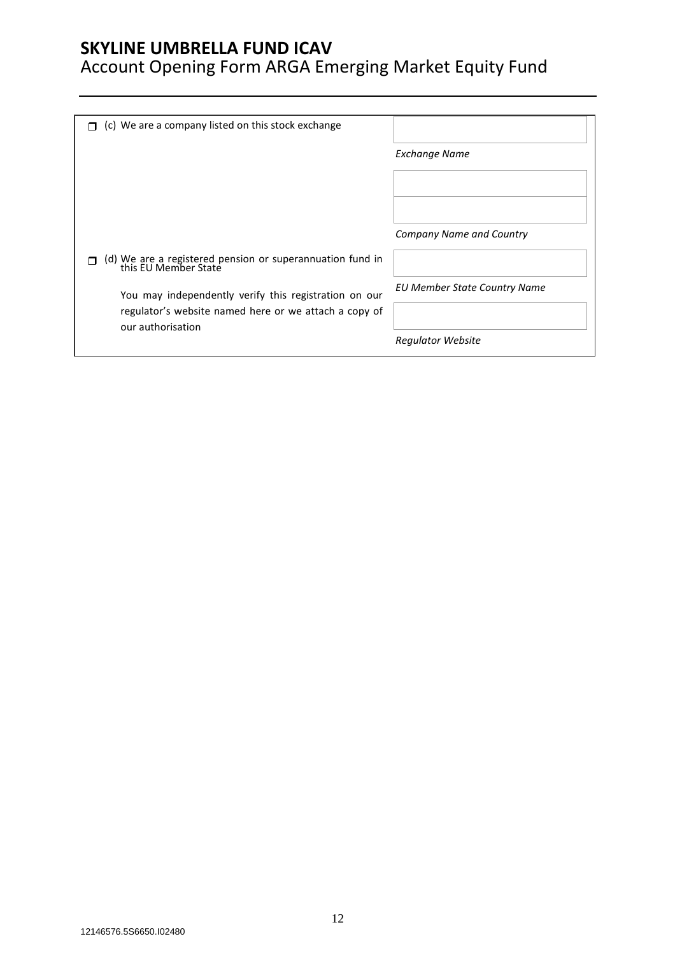### **SKYLINE UMBRELLA FUND ICAV**

# Account Opening Form ARGA Emerging Market Equity Fund

| <b>Exchange Name</b>         |
|------------------------------|
|                              |
| Company Name and Country     |
|                              |
|                              |
| EU Member State Country Name |
|                              |
| <b>Regulator Website</b>     |
|                              |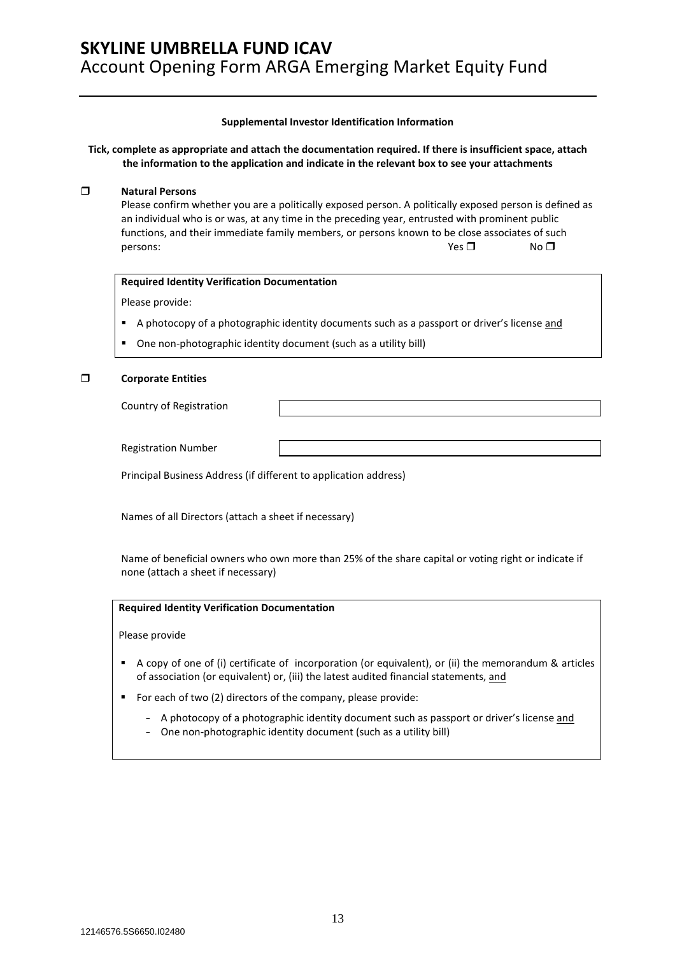### **Supplemental Investor Identification Information**

**Tick, complete as appropriate and attach the documentation required. If there is insufficient space, attach the information to the application and indicate in the relevant box to see your attachments** 

### **Natural Persons**

Please confirm whether you are a politically exposed person. A politically exposed person is defined as an individual who is or was, at any time in the preceding year, entrusted with prominent public functions, and their immediate family members, or persons known to be close associates of such persons:  $N\circ\Box$  No  $\Box$ 

### **Required Identity Verification Documentation**

Please provide:

- A photocopy of a photographic identity documents such as a passport or driver's license and
- One non-photographic identity document (such as a utility bill)

### **Corporate Entities**

Country of Registration

Registration Number

Principal Business Address (if different to application address)

Names of all Directors (attach a sheet if necessary)

Name of beneficial owners who own more than 25% of the share capital or voting right or indicate if none (attach a sheet if necessary)

### **Required Identity Verification Documentation**

Please provide

- A copy of one of (i) certificate of incorporation (or equivalent), or (ii) the memorandum & articles of association (or equivalent) or, (iii) the latest audited financial statements, and
- For each of two (2) directors of the company, please provide:
	- A photocopy of a photographic identity document such as passport or driver's license and
	- One non-photographic identity document (such as a utility bill)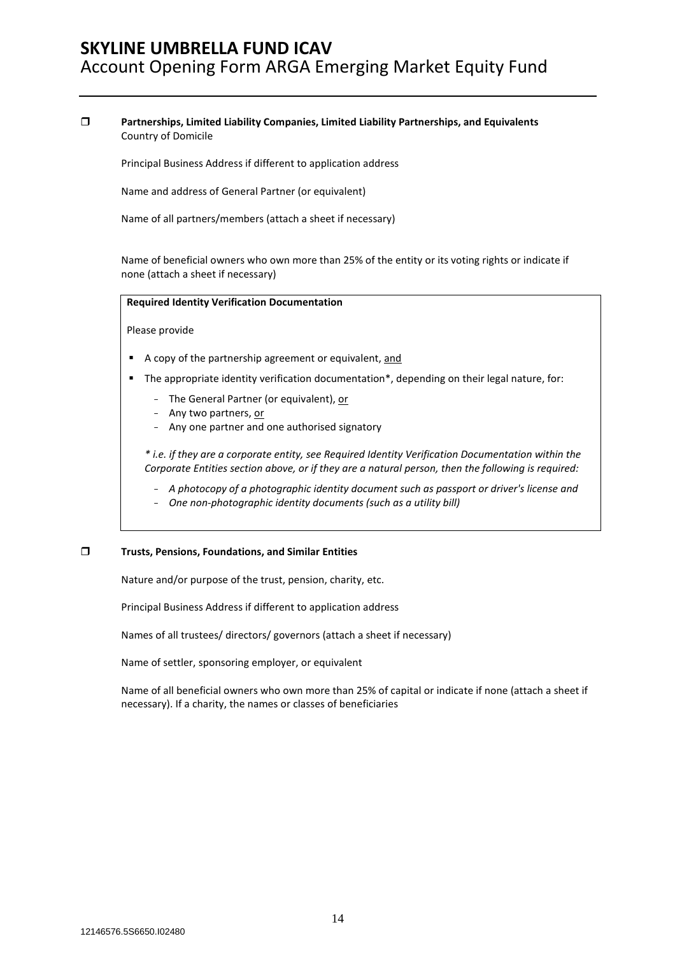### **Partnerships, Limited Liability Companies, Limited Liability Partnerships, and Equivalents**  Country of Domicile

Principal Business Address if different to application address

Name and address of General Partner (or equivalent)

Name of all partners/members (attach a sheet if necessary)

Name of beneficial owners who own more than 25% of the entity or its voting rights or indicate if none (attach a sheet if necessary)

#### **Required Identity Verification Documentation**

Please provide

- A copy of the partnership agreement or equivalent, and
- **The appropriate identity verification documentation\*, depending on their legal nature, for:** 
	- The General Partner (or equivalent), or
	- Any two partners, or
	- Any one partner and one authorised signatory

*\* i.e. if they are a corporate entity, see Required Identity Verification Documentation within the Corporate Entities section above, or if they are a natural person, then the following is required:* 

- *A photocopy of a photographic identity document such as passport or driver's license and*
- *One non-photographic identity documents (such as a utility bill)*

### **Trusts, Pensions, Foundations, and Similar Entities**

Nature and/or purpose of the trust, pension, charity, etc.

Principal Business Address if different to application address

Names of all trustees/ directors/ governors (attach a sheet if necessary)

Name of settler, sponsoring employer, or equivalent

Name of all beneficial owners who own more than 25% of capital or indicate if none (attach a sheet if necessary). If a charity, the names or classes of beneficiaries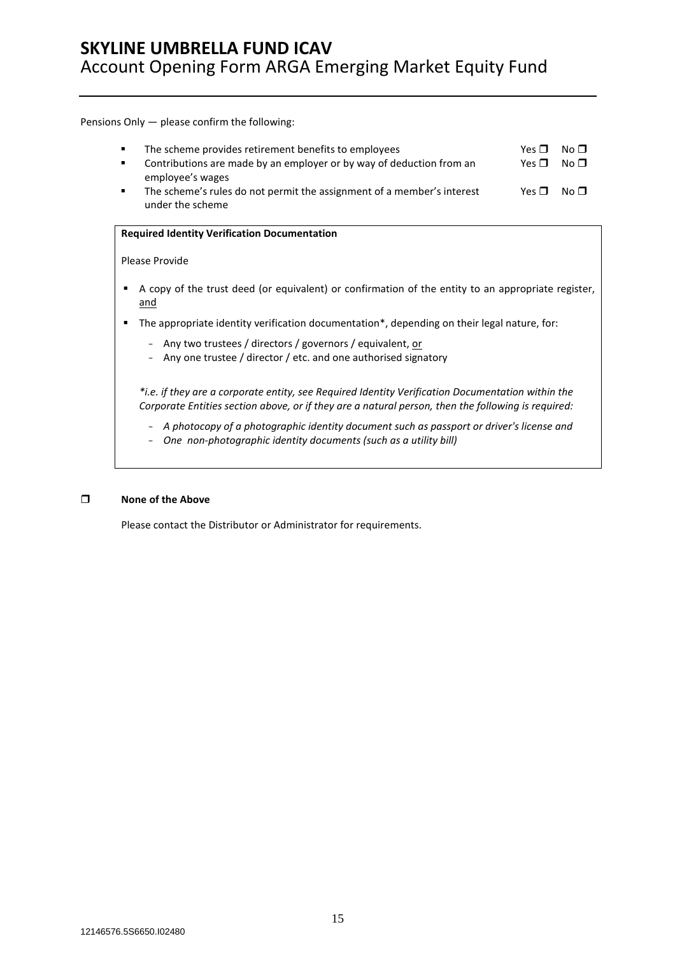Pensions Only — please confirm the following:

| The scheme provides retirement benefits to employees<br>Contributions are made by an employer or by way of deduction from an | Yes $\Pi$<br>Yes $\Pi$ | No $\sqcap$<br>No $\blacksquare$ |
|------------------------------------------------------------------------------------------------------------------------------|------------------------|----------------------------------|
| employee's wages                                                                                                             |                        |                                  |
| The scheme's rules do not permit the assignment of a member's interest                                                       | $Yes \Box No \Box$     |                                  |
| under the scheme                                                                                                             |                        |                                  |

#### **Required Identity Verification Documentation**

#### Please Provide

- A copy of the trust deed (or equivalent) or confirmation of the entity to an appropriate register, and
- The appropriate identity verification documentation\*, depending on their legal nature, for:
	- Any two trustees / directors / governors / equivalent, or
	- Any one trustee / director / etc. and one authorised signatory

*\*i.e. if they are a corporate entity, see Required Identity Verification Documentation within the Corporate Entities section above, or if they are a natural person, then the following is required:* 

- *A photocopy of a photographic identity document such as passport or driver's license and*
- *One non-photographic identity documents (such as a utility bill)*

### **None of the Above**

Please contact the Distributor or Administrator for requirements.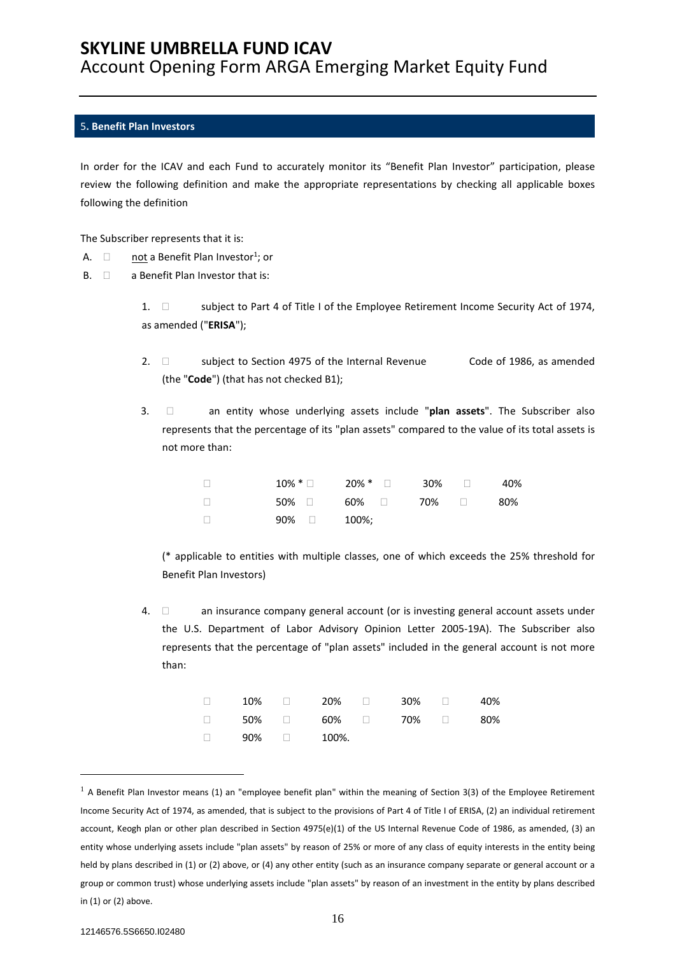### 5**. Benefit Plan Investors**

In order for the ICAV and each Fund to accurately monitor its "Benefit Plan Investor" participation, please review the following definition and make the appropriate representations by checking all applicable boxes following the definition

The Subscriber represents that it is:

- A.  $\Box$  not a Benefit Plan Investor<sup>1</sup>; or
- $B. \quad \Box$  a Benefit Plan Investor that is:

1.  $\Box$  subject to Part 4 of Title I of the Employee Retirement Income Security Act of 1974, as amended ("**ERISA**");

- 2.  $\Box$  subject to Section 4975 of the Internal Revenue Code of 1986, as amended (the "**Code**") (that has not checked B1);
- 3.  $\Box$  an entity whose underlying assets include "plan assets". The Subscriber also represents that the percentage of its "plan assets" compared to the value of its total assets is not more than:

| $\Box$ |                | $10\% * \Box$ 20% * $\Box$ 30% $\Box$ 40% |  |  |
|--------|----------------|-------------------------------------------|--|--|
| $\Box$ |                | 50% □   60% □   70% □   80%               |  |  |
| - 0    | $90\%$ 2 100%; |                                           |  |  |

(\* applicable to entities with multiple classes, one of which exceeds the 25% threshold for Benefit Plan Investors)

4.  $\Box$  an insurance company general account (or is investing general account assets under the U.S. Department of Labor Advisory Opinion Letter 2005-19A). The Subscriber also represents that the percentage of "plan assets" included in the general account is not more than:

|                         |  | $\Box$ 10% $\Box$ 20% $\Box$ 30% $\Box$ 40% |  |
|-------------------------|--|---------------------------------------------|--|
|                         |  | $\Box$ 50% $\Box$ 60% $\Box$ 70% $\Box$ 80% |  |
| $\Box$ 90% $\Box$ 100%. |  |                                             |  |

 $1$  A Benefit Plan Investor means (1) an "employee benefit plan" within the meaning of Section 3(3) of the Employee Retirement Income Security Act of 1974, as amended, that is subject to the provisions of Part 4 of Title I of ERISA, (2) an individual retirement account, Keogh plan or other plan described in Section 4975(e)(1) of the US Internal Revenue Code of 1986, as amended, (3) an entity whose underlying assets include "plan assets" by reason of 25% or more of any class of equity interests in the entity being held by plans described in (1) or (2) above, or (4) any other entity (such as an insurance company separate or general account or a group or common trust) whose underlying assets include "plan assets" by reason of an investment in the entity by plans described in (1) or (2) above.

 $\overline{a}$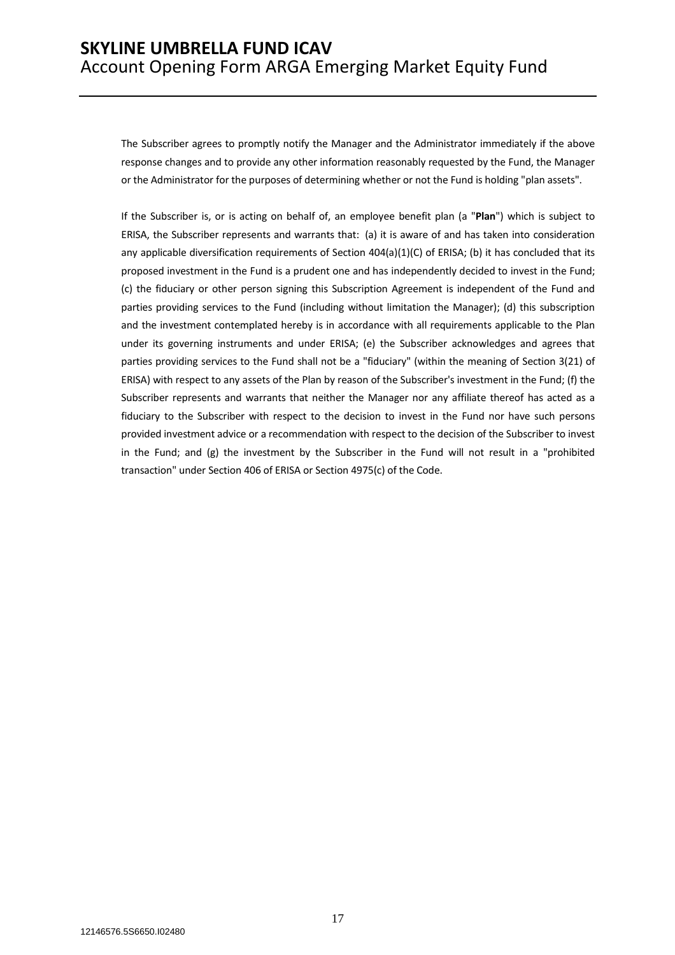The Subscriber agrees to promptly notify the Manager and the Administrator immediately if the above response changes and to provide any other information reasonably requested by the Fund, the Manager or the Administrator for the purposes of determining whether or not the Fund is holding "plan assets".

If the Subscriber is, or is acting on behalf of, an employee benefit plan (a "**Plan**") which is subject to ERISA, the Subscriber represents and warrants that: (a) it is aware of and has taken into consideration any applicable diversification requirements of Section 404(a)(1)(C) of ERISA; (b) it has concluded that its proposed investment in the Fund is a prudent one and has independently decided to invest in the Fund; (c) the fiduciary or other person signing this Subscription Agreement is independent of the Fund and parties providing services to the Fund (including without limitation the Manager); (d) this subscription and the investment contemplated hereby is in accordance with all requirements applicable to the Plan under its governing instruments and under ERISA; (e) the Subscriber acknowledges and agrees that parties providing services to the Fund shall not be a "fiduciary" (within the meaning of Section 3(21) of ERISA) with respect to any assets of the Plan by reason of the Subscriber's investment in the Fund; (f) the Subscriber represents and warrants that neither the Manager nor any affiliate thereof has acted as a fiduciary to the Subscriber with respect to the decision to invest in the Fund nor have such persons provided investment advice or a recommendation with respect to the decision of the Subscriber to invest in the Fund; and (g) the investment by the Subscriber in the Fund will not result in a "prohibited transaction" under Section 406 of ERISA or Section 4975(c) of the Code.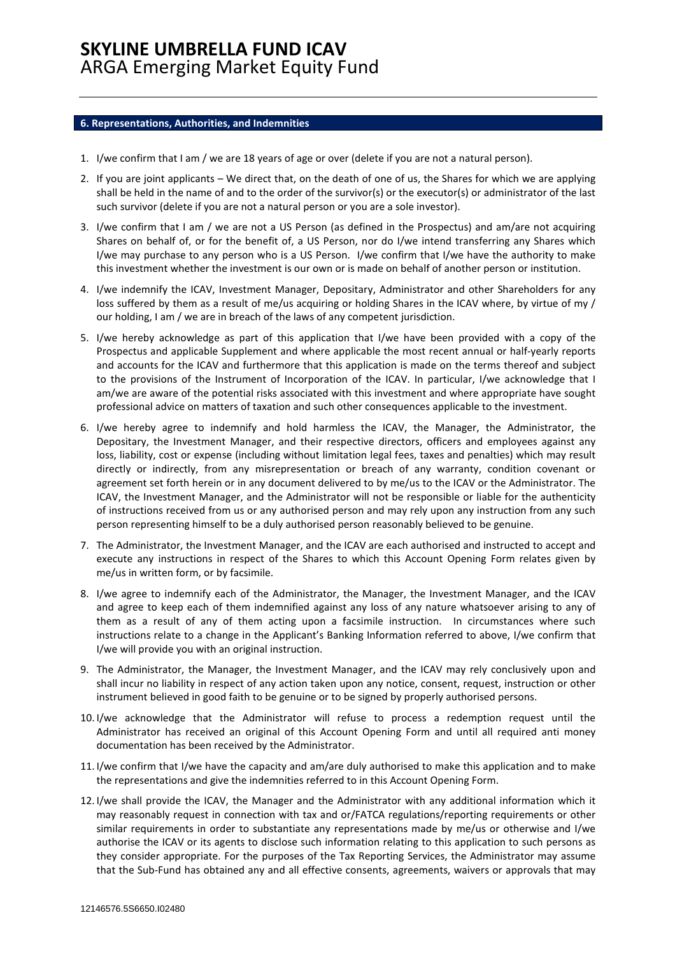#### **6. Representations, Authorities, and Indemnities**

- 1. I/we confirm that I am / we are 18 years of age or over (delete if you are not a natural person).
- 2. If you are joint applicants We direct that, on the death of one of us, the Shares for which we are applying shall be held in the name of and to the order of the survivor(s) or the executor(s) or administrator of the last such survivor (delete if you are not a natural person or you are a sole investor).
- 3. I/we confirm that I am / we are not a US Person (as defined in the Prospectus) and am/are not acquiring Shares on behalf of, or for the benefit of, a US Person, nor do I/we intend transferring any Shares which I/we may purchase to any person who is a US Person. I/we confirm that I/we have the authority to make this investment whether the investment is our own or is made on behalf of another person or institution.
- 4. I/we indemnify the ICAV, Investment Manager, Depositary, Administrator and other Shareholders for any loss suffered by them as a result of me/us acquiring or holding Shares in the ICAV where, by virtue of my / our holding, I am / we are in breach of the laws of any competent jurisdiction.
- 5. I/we hereby acknowledge as part of this application that I/we have been provided with a copy of the Prospectus and applicable Supplement and where applicable the most recent annual or half-yearly reports and accounts for the ICAV and furthermore that this application is made on the terms thereof and subject to the provisions of the Instrument of Incorporation of the ICAV. In particular, I/we acknowledge that I am/we are aware of the potential risks associated with this investment and where appropriate have sought professional advice on matters of taxation and such other consequences applicable to the investment.
- 6. I/we hereby agree to indemnify and hold harmless the ICAV, the Manager, the Administrator, the Depositary, the Investment Manager, and their respective directors, officers and employees against any loss, liability, cost or expense (including without limitation legal fees, taxes and penalties) which may result directly or indirectly, from any misrepresentation or breach of any warranty, condition covenant or agreement set forth herein or in any document delivered to by me/us to the ICAV or the Administrator. The ICAV, the Investment Manager, and the Administrator will not be responsible or liable for the authenticity of instructions received from us or any authorised person and may rely upon any instruction from any such person representing himself to be a duly authorised person reasonably believed to be genuine.
- 7. The Administrator, the Investment Manager, and the ICAV are each authorised and instructed to accept and execute any instructions in respect of the Shares to which this Account Opening Form relates given by me/us in written form, or by facsimile.
- 8. I/we agree to indemnify each of the Administrator, the Manager, the Investment Manager, and the ICAV and agree to keep each of them indemnified against any loss of any nature whatsoever arising to any of them as a result of any of them acting upon a facsimile instruction. In circumstances where such instructions relate to a change in the Applicant's Banking Information referred to above, I/we confirm that I/we will provide you with an original instruction.
- 9. The Administrator, the Manager, the Investment Manager, and the ICAV may rely conclusively upon and shall incur no liability in respect of any action taken upon any notice, consent, request, instruction or other instrument believed in good faith to be genuine or to be signed by properly authorised persons.
- 10. I/we acknowledge that the Administrator will refuse to process a redemption request until the Administrator has received an original of this Account Opening Form and until all required anti money documentation has been received by the Administrator.
- 11. I/we confirm that I/we have the capacity and am/are duly authorised to make this application and to make the representations and give the indemnities referred to in this Account Opening Form.
- 12. I/we shall provide the ICAV, the Manager and the Administrator with any additional information which it may reasonably request in connection with tax and or/FATCA regulations/reporting requirements or other similar requirements in order to substantiate any representations made by me/us or otherwise and I/we authorise the ICAV or its agents to disclose such information relating to this application to such persons as they consider appropriate. For the purposes of the Tax Reporting Services, the Administrator may assume that the Sub-Fund has obtained any and all effective consents, agreements, waivers or approvals that may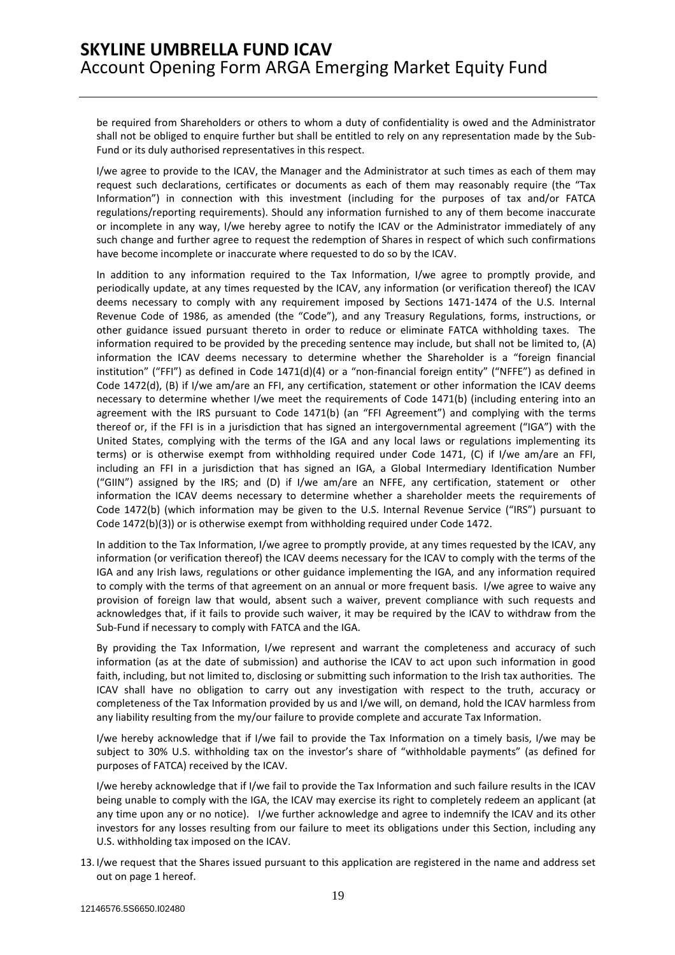be required from Shareholders or others to whom a duty of confidentiality is owed and the Administrator shall not be obliged to enquire further but shall be entitled to rely on any representation made by the Sub-Fund or its duly authorised representatives in this respect.

I/we agree to provide to the ICAV, the Manager and the Administrator at such times as each of them may request such declarations, certificates or documents as each of them may reasonably require (the "Tax Information") in connection with this investment (including for the purposes of tax and/or FATCA regulations/reporting requirements). Should any information furnished to any of them become inaccurate or incomplete in any way, I/we hereby agree to notify the ICAV or the Administrator immediately of any such change and further agree to request the redemption of Shares in respect of which such confirmations have become incomplete or inaccurate where requested to do so by the ICAV.

In addition to any information required to the Tax Information, I/we agree to promptly provide, and periodically update, at any times requested by the ICAV, any information (or verification thereof) the ICAV deems necessary to comply with any requirement imposed by Sections 1471-1474 of the U.S. Internal Revenue Code of 1986, as amended (the "Code"), and any Treasury Regulations, forms, instructions, or other guidance issued pursuant thereto in order to reduce or eliminate FATCA withholding taxes. The information required to be provided by the preceding sentence may include, but shall not be limited to, (A) information the ICAV deems necessary to determine whether the Shareholder is a "foreign financial institution" ("FFI") as defined in Code 1471(d)(4) or a "non-financial foreign entity" ("NFFE") as defined in Code 1472(d), (B) if I/we am/are an FFI, any certification, statement or other information the ICAV deems necessary to determine whether I/we meet the requirements of Code 1471(b) (including entering into an agreement with the IRS pursuant to Code 1471(b) (an "FFI Agreement") and complying with the terms thereof or, if the FFI is in a jurisdiction that has signed an intergovernmental agreement ("IGA") with the United States, complying with the terms of the IGA and any local laws or regulations implementing its terms) or is otherwise exempt from withholding required under Code 1471, (C) if I/we am/are an FFI, including an FFI in a jurisdiction that has signed an IGA, a Global Intermediary Identification Number ("GIIN") assigned by the IRS; and (D) if I/we am/are an NFFE, any certification, statement or other information the ICAV deems necessary to determine whether a shareholder meets the requirements of Code 1472(b) (which information may be given to the U.S. Internal Revenue Service ("IRS") pursuant to Code 1472(b)(3)) or is otherwise exempt from withholding required under Code 1472.

In addition to the Tax Information, I/we agree to promptly provide, at any times requested by the ICAV, any information (or verification thereof) the ICAV deems necessary for the ICAV to comply with the terms of the IGA and any Irish laws, regulations or other guidance implementing the IGA, and any information required to comply with the terms of that agreement on an annual or more frequent basis. I/we agree to waive any provision of foreign law that would, absent such a waiver, prevent compliance with such requests and acknowledges that, if it fails to provide such waiver, it may be required by the ICAV to withdraw from the Sub-Fund if necessary to comply with FATCA and the IGA.

By providing the Tax Information, I/we represent and warrant the completeness and accuracy of such information (as at the date of submission) and authorise the ICAV to act upon such information in good faith, including, but not limited to, disclosing or submitting such information to the Irish tax authorities. The ICAV shall have no obligation to carry out any investigation with respect to the truth, accuracy or completeness of the Tax Information provided by us and I/we will, on demand, hold the ICAV harmless from any liability resulting from the my/our failure to provide complete and accurate Tax Information.

I/we hereby acknowledge that if I/we fail to provide the Tax Information on a timely basis, I/we may be subject to 30% U.S. withholding tax on the investor's share of "withholdable payments" (as defined for purposes of FATCA) received by the ICAV.

I/we hereby acknowledge that if I/we fail to provide the Tax Information and such failure results in the ICAV being unable to comply with the IGA, the ICAV may exercise its right to completely redeem an applicant (at any time upon any or no notice). I/we further acknowledge and agree to indemnify the ICAV and its other investors for any losses resulting from our failure to meet its obligations under this Section, including any U.S. withholding tax imposed on the ICAV.

13. I/we request that the Shares issued pursuant to this application are registered in the name and address set out on page 1 hereof.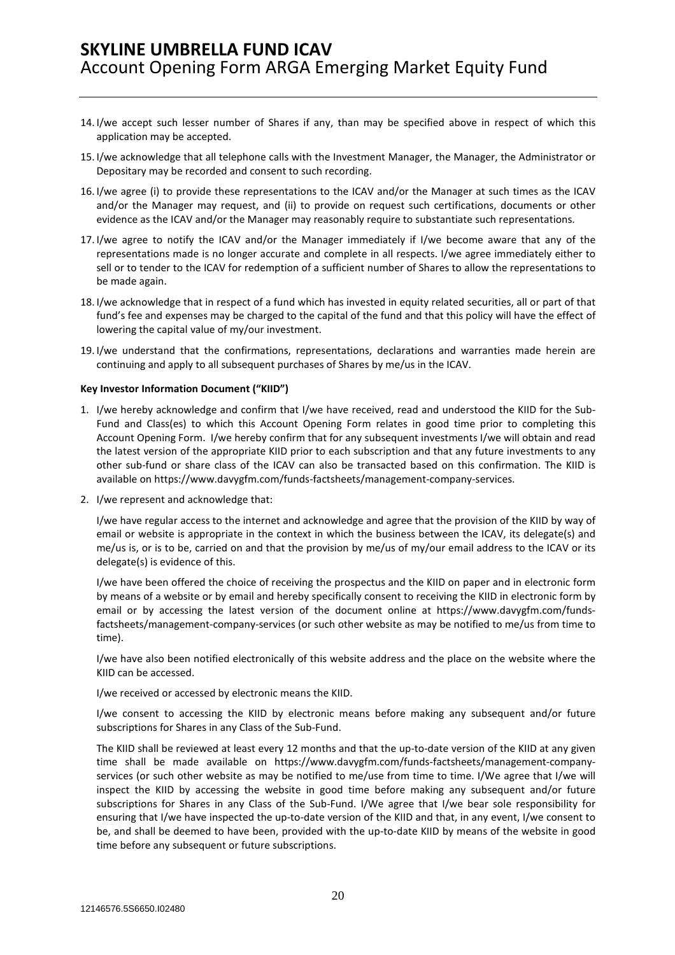- 14. I/we accept such lesser number of Shares if any, than may be specified above in respect of which this application may be accepted.
- 15. I/we acknowledge that all telephone calls with the Investment Manager, the Manager, the Administrator or Depositary may be recorded and consent to such recording.
- 16. I/we agree (i) to provide these representations to the ICAV and/or the Manager at such times as the ICAV and/or the Manager may request, and (ii) to provide on request such certifications, documents or other evidence as the ICAV and/or the Manager may reasonably require to substantiate such representations.
- 17. I/we agree to notify the ICAV and/or the Manager immediately if I/we become aware that any of the representations made is no longer accurate and complete in all respects. I/we agree immediately either to sell or to tender to the ICAV for redemption of a sufficient number of Shares to allow the representations to be made again.
- 18. I/we acknowledge that in respect of a fund which has invested in equity related securities, all or part of that fund's fee and expenses may be charged to the capital of the fund and that this policy will have the effect of lowering the capital value of my/our investment.
- 19. I/we understand that the confirmations, representations, declarations and warranties made herein are continuing and apply to all subsequent purchases of Shares by me/us in the ICAV.

#### **Key Investor Information Document ("KIID")**

- 1. I/we hereby acknowledge and confirm that I/we have received, read and understood the KIID for the Sub-Fund and Class(es) to which this Account Opening Form relates in good time prior to completing this Account Opening Form. I/we hereby confirm that for any subsequent investments I/we will obtain and read the latest version of the appropriate KIID prior to each subscription and that any future investments to any other sub-fund or share class of the ICAV can also be transacted based on this confirmation. The KIID is available on https://www.davygfm.com/funds-factsheets/management-company-services.
- 2. I/we represent and acknowledge that:

I/we have regular access to the internet and acknowledge and agree that the provision of the KIID by way of email or website is appropriate in the context in which the business between the ICAV, its delegate(s) and me/us is, or is to be, carried on and that the provision by me/us of my/our email address to the ICAV or its delegate(s) is evidence of this.

I/we have been offered the choice of receiving the prospectus and the KIID on paper and in electronic form by means of a website or by email and hereby specifically consent to receiving the KIID in electronic form by email or by accessing the latest version of the document online at https://www.davygfm.com/fundsfactsheets/management-company-services (or such other website as may be notified to me/us from time to time).

I/we have also been notified electronically of this website address and the place on the website where the KIID can be accessed.

I/we received or accessed by electronic means the KIID.

I/we consent to accessing the KIID by electronic means before making any subsequent and/or future subscriptions for Shares in any Class of the Sub-Fund.

The KIID shall be reviewed at least every 12 months and that the up-to-date version of the KIID at any given time shall be made available on https://www.davygfm.com/funds-factsheets/management-companyservices (or such other website as may be notified to me/use from time to time. I/We agree that I/we will inspect the KIID by accessing the website in good time before making any subsequent and/or future subscriptions for Shares in any Class of the Sub-Fund. I/We agree that I/we bear sole responsibility for ensuring that I/we have inspected the up-to-date version of the KIID and that, in any event, I/we consent to be, and shall be deemed to have been, provided with the up-to-date KIID by means of the website in good time before any subsequent or future subscriptions.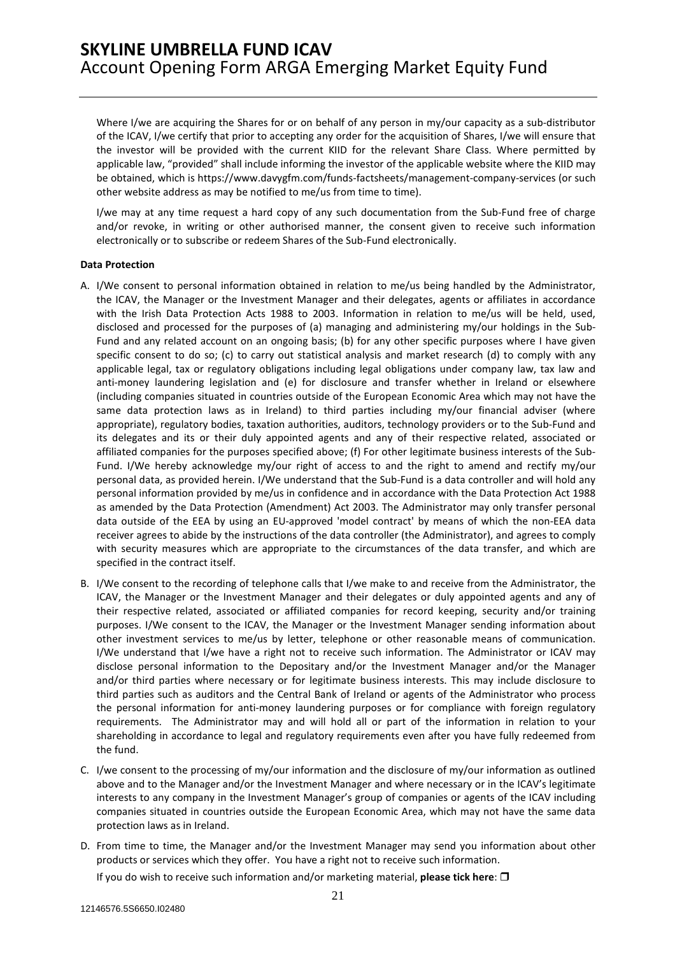Where I/we are acquiring the Shares for or on behalf of any person in my/our capacity as a sub-distributor of the ICAV, I/we certify that prior to accepting any order for the acquisition of Shares, I/we will ensure that the investor will be provided with the current KIID for the relevant Share Class. Where permitted by applicable law, "provided" shall include informing the investor of the applicable website where the KIID may be obtained, which is https://www.davygfm.com/funds-factsheets/management-company-services (or such other website address as may be notified to me/us from time to time).

I/we may at any time request a hard copy of any such documentation from the Sub-Fund free of charge and/or revoke, in writing or other authorised manner, the consent given to receive such information electronically or to subscribe or redeem Shares of the Sub-Fund electronically.

#### **Data Protection**

- A. I/We consent to personal information obtained in relation to me/us being handled by the Administrator, the ICAV, the Manager or the Investment Manager and their delegates, agents or affiliates in accordance with the Irish Data Protection Acts 1988 to 2003. Information in relation to me/us will be held, used, disclosed and processed for the purposes of (a) managing and administering my/our holdings in the Sub-Fund and any related account on an ongoing basis; (b) for any other specific purposes where I have given specific consent to do so; (c) to carry out statistical analysis and market research (d) to comply with any applicable legal, tax or regulatory obligations including legal obligations under company law, tax law and anti-money laundering legislation and (e) for disclosure and transfer whether in Ireland or elsewhere (including companies situated in countries outside of the European Economic Area which may not have the same data protection laws as in Ireland) to third parties including my/our financial adviser (where appropriate), regulatory bodies, taxation authorities, auditors, technology providers or to the Sub-Fund and its delegates and its or their duly appointed agents and any of their respective related, associated or affiliated companies for the purposes specified above; (f) For other legitimate business interests of the Sub-Fund. I/We hereby acknowledge my/our right of access to and the right to amend and rectify my/our personal data, as provided herein. I/We understand that the Sub-Fund is a data controller and will hold any personal information provided by me/us in confidence and in accordance with the Data Protection Act 1988 as amended by the Data Protection (Amendment) Act 2003. The Administrator may only transfer personal data outside of the EEA by using an EU-approved 'model contract' by means of which the non-EEA data receiver agrees to abide by the instructions of the data controller (the Administrator), and agrees to comply with security measures which are appropriate to the circumstances of the data transfer, and which are specified in the contract itself.
- B. I/We consent to the recording of telephone calls that I/we make to and receive from the Administrator, the ICAV, the Manager or the Investment Manager and their delegates or duly appointed agents and any of their respective related, associated or affiliated companies for record keeping, security and/or training purposes. I/We consent to the ICAV, the Manager or the Investment Manager sending information about other investment services to me/us by letter, telephone or other reasonable means of communication. I/We understand that I/we have a right not to receive such information. The Administrator or ICAV may disclose personal information to the Depositary and/or the Investment Manager and/or the Manager and/or third parties where necessary or for legitimate business interests. This may include disclosure to third parties such as auditors and the Central Bank of Ireland or agents of the Administrator who process the personal information for anti-money laundering purposes or for compliance with foreign regulatory requirements. The Administrator may and will hold all or part of the information in relation to your shareholding in accordance to legal and regulatory requirements even after you have fully redeemed from the fund.
- C. I/we consent to the processing of my/our information and the disclosure of my/our information as outlined above and to the Manager and/or the Investment Manager and where necessary or in the ICAV's legitimate interests to any company in the Investment Manager's group of companies or agents of the ICAV including companies situated in countries outside the European Economic Area, which may not have the same data protection laws as in Ireland.
- D. From time to time, the Manager and/or the Investment Manager may send you information about other products or services which they offer. You have a right not to receive such information.

If you do wish to receive such information and/or marketing material, **please tick here**: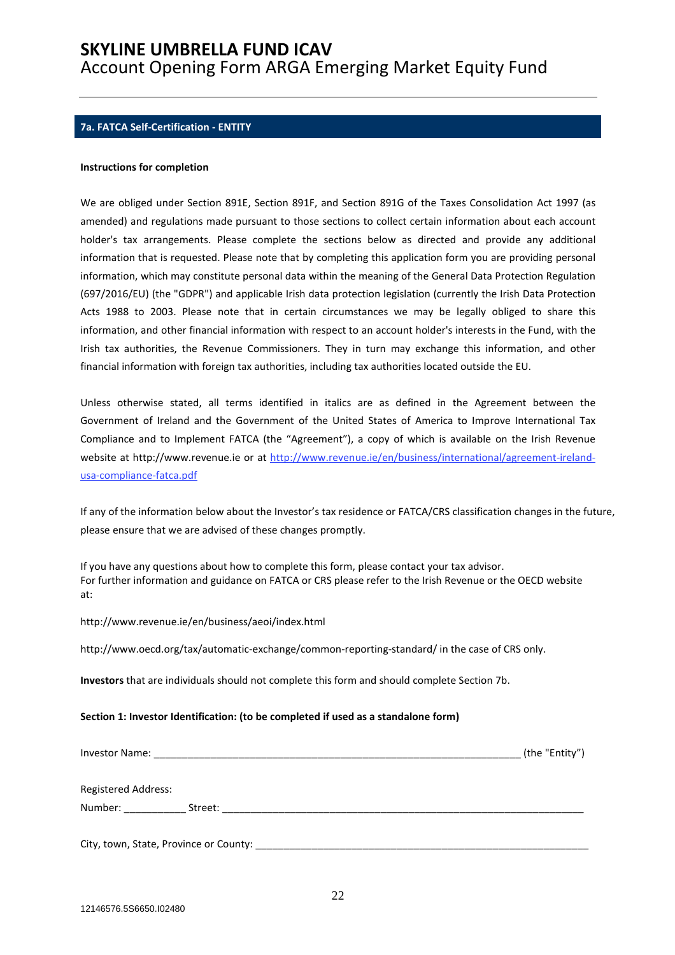### **7a. FATCA Self-Certification - ENTITY**

#### **Instructions for completion**

We are obliged under Section 891E, Section 891F, and Section 891G of the Taxes Consolidation Act 1997 (as amended) and regulations made pursuant to those sections to collect certain information about each account holder's tax arrangements. Please complete the sections below as directed and provide any additional information that is requested. Please note that by completing this application form you are providing personal information, which may constitute personal data within the meaning of the General Data Protection Regulation (697/2016/EU) (the "GDPR") and applicable Irish data protection legislation (currently the Irish Data Protection Acts 1988 to 2003. Please note that in certain circumstances we may be legally obliged to share this information, and other financial information with respect to an account holder's interests in the Fund, with the Irish tax authorities, the Revenue Commissioners. They in turn may exchange this information, and other financial information with foreign tax authorities, including tax authorities located outside the EU.

Unless otherwise stated, all terms identified in italics are as defined in the Agreement between the Government of Ireland and the Government of the United States of America to Improve International Tax Compliance and to Implement FATCA (the "Agreement"), a copy of which is available on the Irish Revenue website at http://www.revenue.ie or at http://www.revenue.ie/en/business/international/agreement-irelandusa-compliance-fatca.pdf

If any of the information below about the Investor's tax residence or FATCA/CRS classification changes in the future, please ensure that we are advised of these changes promptly.

If you have any questions about how to complete this form, please contact your tax advisor. For further information and guidance on FATCA or CRS please refer to the Irish Revenue or the OECD website at:

#### http://www.revenue.ie/en/business/aeoi/index.html

http://www.oecd.org/tax/automatic-exchange/common-reporting-standard/ in the case of CRS only.

**Investors** that are individuals should not complete this form and should complete Section 7b.

#### **Section 1: Investor Identification: (to be completed if used as a standalone form)**

| Investor Name:                         | (the "Entity") |
|----------------------------------------|----------------|
| <b>Registered Address:</b>             |                |
| Number: Number:<br>Street:             |                |
| City, town, State, Province or County: |                |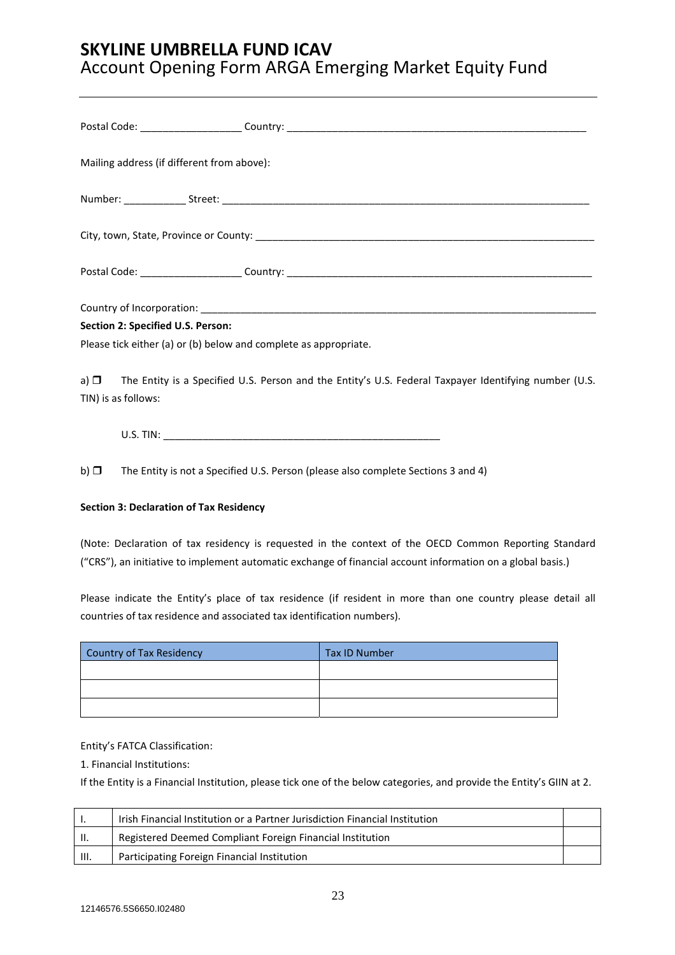| Mailing address (if different from above):                                                                                             |
|----------------------------------------------------------------------------------------------------------------------------------------|
|                                                                                                                                        |
|                                                                                                                                        |
|                                                                                                                                        |
|                                                                                                                                        |
| Section 2: Specified U.S. Person:                                                                                                      |
| Please tick either (a) or (b) below and complete as appropriate.                                                                       |
| a) $\Box$ The Entity is a Specified U.S. Person and the Entity's U.S. Federal Taxpayer Identifying number (U.S.<br>TIN) is as follows: |
|                                                                                                                                        |

b)  $\Box$  The Entity is not a Specified U.S. Person (please also complete Sections 3 and 4)

### **Section 3: Declaration of Tax Residency**

(Note: Declaration of tax residency is requested in the context of the OECD Common Reporting Standard ("CRS"), an initiative to implement automatic exchange of financial account information on a global basis.)

Please indicate the Entity's place of tax residence (if resident in more than one country please detail all countries of tax residence and associated tax identification numbers).

| <b>Country of Tax Residency</b> | <b>Tax ID Number</b> |
|---------------------------------|----------------------|
|                                 |                      |
|                                 |                      |
|                                 |                      |

### Entity's FATCA Classification:

1. Financial Institutions:

If the Entity is a Financial Institution, please tick one of the below categories, and provide the Entity's GIIN at 2.

|      | lrish Financial Institution or a Partner Jurisdiction Financial Institution |  |
|------|-----------------------------------------------------------------------------|--|
| H.   | Registered Deemed Compliant Foreign Financial Institution                   |  |
| III. | Participating Foreign Financial Institution                                 |  |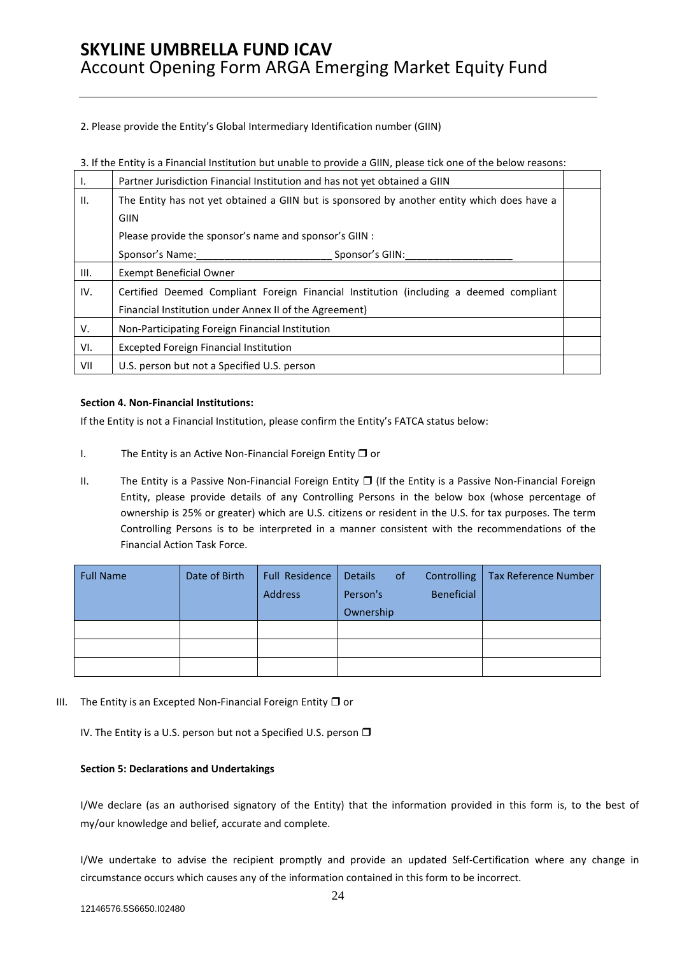2. Please provide the Entity's Global Intermediary Identification number (GIIN)

| Ι.   | Partner Jurisdiction Financial Institution and has not yet obtained a GIIN                  |  |  |  |
|------|---------------------------------------------------------------------------------------------|--|--|--|
| II.  | The Entity has not yet obtained a GIIN but is sponsored by another entity which does have a |  |  |  |
|      | <b>GIIN</b>                                                                                 |  |  |  |
|      | Please provide the sponsor's name and sponsor's GIIN :                                      |  |  |  |
|      | Sponsor's Name:<br>Sponsor's GIIN:                                                          |  |  |  |
| III. | <b>Exempt Beneficial Owner</b>                                                              |  |  |  |
| IV.  | Certified Deemed Compliant Foreign Financial Institution (including a deemed compliant      |  |  |  |
|      | Financial Institution under Annex II of the Agreement)                                      |  |  |  |
| V.   | Non-Participating Foreign Financial Institution                                             |  |  |  |
| VI.  | <b>Excepted Foreign Financial Institution</b>                                               |  |  |  |
| VII  | U.S. person but not a Specified U.S. person                                                 |  |  |  |

3. If the Entity is a Financial Institution but unable to provide a GIIN, please tick one of the below reasons:

### **Section 4. Non-Financial Institutions:**

If the Entity is not a Financial Institution, please confirm the Entity's FATCA status below:

- I. The Entity is an Active Non-Financial Foreign Entity  $\Box$  or
- II. The Entity is a Passive Non-Financial Foreign Entity  $\Box$  (If the Entity is a Passive Non-Financial Foreign Entity, please provide details of any Controlling Persons in the below box (whose percentage of ownership is 25% or greater) which are U.S. citizens or resident in the U.S. for tax purposes. The term Controlling Persons is to be interpreted in a manner consistent with the recommendations of the Financial Action Task Force.

| <b>Full Name</b> | Date of Birth | <b>Full Residence</b><br>Address | of<br><b>Details</b><br>Person's<br>Ownership | <b>Tax Reference Number</b><br>Controlling<br><b>Beneficial</b> |
|------------------|---------------|----------------------------------|-----------------------------------------------|-----------------------------------------------------------------|
|                  |               |                                  |                                               |                                                                 |
|                  |               |                                  |                                               |                                                                 |
|                  |               |                                  |                                               |                                                                 |

III. The Entity is an Excepted Non-Financial Foreign Entity  $\Box$  or

IV. The Entity is a U.S. person but not a Specified U.S. person  $\Box$ 

### **Section 5: Declarations and Undertakings**

I/We declare (as an authorised signatory of the Entity) that the information provided in this form is, to the best of my/our knowledge and belief, accurate and complete.

I/We undertake to advise the recipient promptly and provide an updated Self-Certification where any change in circumstance occurs which causes any of the information contained in this form to be incorrect.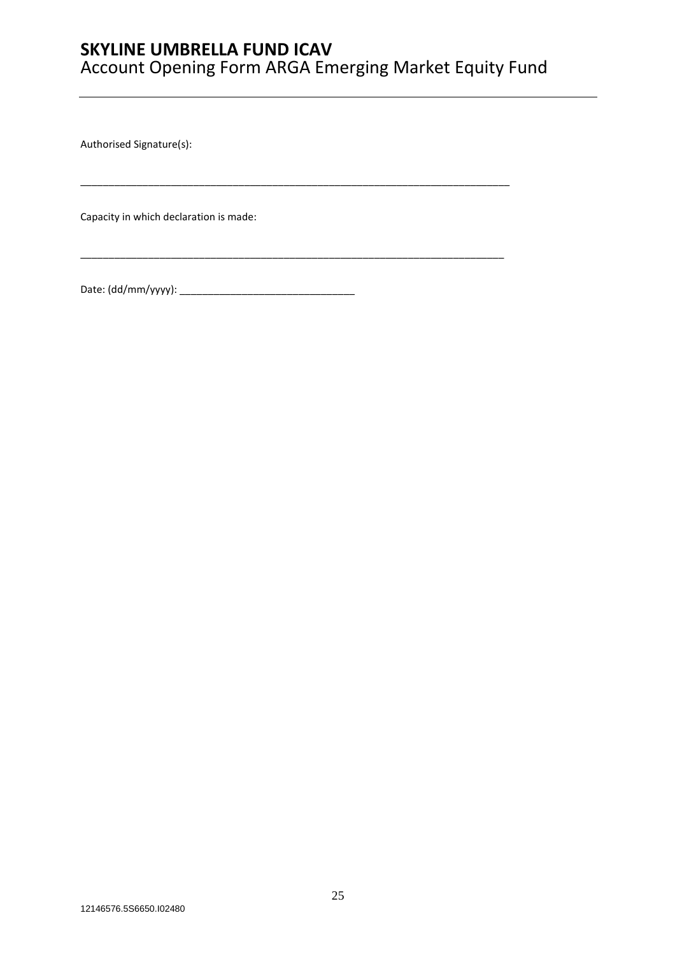\_\_\_\_\_\_\_\_\_\_\_\_\_\_\_\_\_\_\_\_\_\_\_\_\_\_\_\_\_\_\_\_\_\_\_\_\_\_\_\_\_\_\_\_\_\_\_\_\_\_\_\_\_\_\_\_\_\_\_\_\_\_\_\_\_\_\_\_\_\_\_\_\_\_\_\_

\_\_\_\_\_\_\_\_\_\_\_\_\_\_\_\_\_\_\_\_\_\_\_\_\_\_\_\_\_\_\_\_\_\_\_\_\_\_\_\_\_\_\_\_\_\_\_\_\_\_\_\_\_\_\_\_\_\_\_\_\_\_\_\_\_\_\_\_\_\_\_\_\_\_\_

Authorised Signature(s):

Capacity in which declaration is made:

Date: (dd/mm/yyyy): \_\_\_\_\_\_\_\_\_\_\_\_\_\_\_\_\_\_\_\_\_\_\_\_\_\_\_\_\_\_\_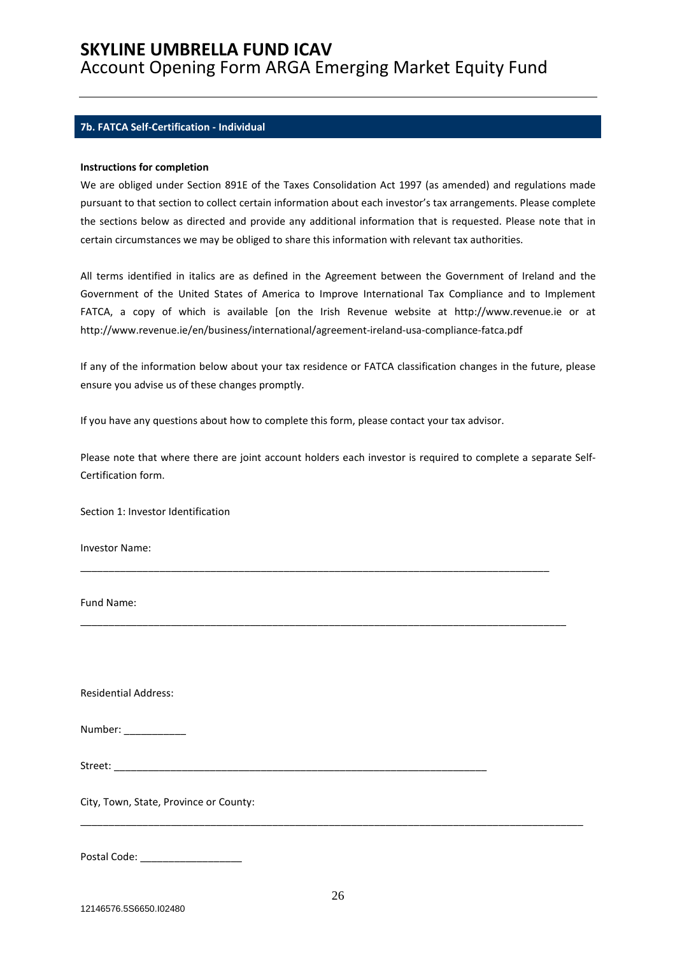### **7b. FATCA Self-Certification - Individual**

#### **Instructions for completion**

We are obliged under Section 891E of the Taxes Consolidation Act 1997 (as amended) and regulations made pursuant to that section to collect certain information about each investor's tax arrangements. Please complete the sections below as directed and provide any additional information that is requested. Please note that in certain circumstances we may be obliged to share this information with relevant tax authorities.

All terms identified in italics are as defined in the Agreement between the Government of Ireland and the Government of the United States of America to Improve International Tax Compliance and to Implement FATCA, a copy of which is available [on the Irish Revenue website at http://www.revenue.ie or at http://www.revenue.ie/en/business/international/agreement-ireland-usa-compliance-fatca.pdf

If any of the information below about your tax residence or FATCA classification changes in the future, please ensure you advise us of these changes promptly.

If you have any questions about how to complete this form, please contact your tax advisor.

Please note that where there are joint account holders each investor is required to complete a separate Self-Certification form.

\_\_\_\_\_\_\_\_\_\_\_\_\_\_\_\_\_\_\_\_\_\_\_\_\_\_\_\_\_\_\_\_\_\_\_\_\_\_\_\_\_\_\_\_\_\_\_\_\_\_\_\_\_\_\_\_\_\_\_\_\_\_\_\_\_\_\_\_\_\_\_\_\_\_\_\_\_\_\_\_\_\_\_

\_\_\_\_\_\_\_\_\_\_\_\_\_\_\_\_\_\_\_\_\_\_\_\_\_\_\_\_\_\_\_\_\_\_\_\_\_\_\_\_\_\_\_\_\_\_\_\_\_\_\_\_\_\_\_\_\_\_\_\_\_\_\_\_\_\_\_\_\_\_\_\_\_\_\_\_\_\_\_\_\_\_\_\_\_\_

Section 1: Investor Identification

Investor Name:

Fund Name:

Residential Address:

| Number: |  |
|---------|--|
|---------|--|

Street: \_\_\_\_\_\_\_\_\_\_\_\_\_\_\_\_\_\_\_\_\_\_\_\_\_\_\_\_\_\_\_\_\_\_\_\_\_\_\_\_\_\_\_\_\_\_\_\_\_\_\_\_\_\_\_\_\_\_\_\_\_\_\_\_\_\_

City, Town, State, Province or County:

Postal Code: \_\_\_\_\_\_\_\_\_\_\_\_\_\_\_\_\_\_

\_\_\_\_\_\_\_\_\_\_\_\_\_\_\_\_\_\_\_\_\_\_\_\_\_\_\_\_\_\_\_\_\_\_\_\_\_\_\_\_\_\_\_\_\_\_\_\_\_\_\_\_\_\_\_\_\_\_\_\_\_\_\_\_\_\_\_\_\_\_\_\_\_\_\_\_\_\_\_\_\_\_\_\_\_\_\_\_\_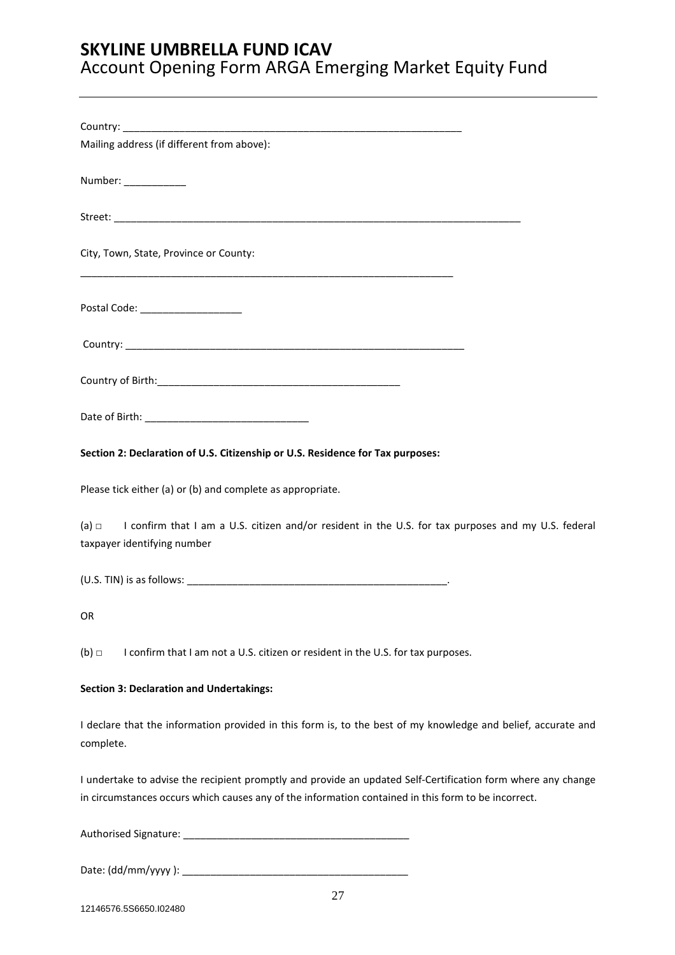| Mailing address (if different from above):                                                                                                                                                                          |
|---------------------------------------------------------------------------------------------------------------------------------------------------------------------------------------------------------------------|
| Number: _____________                                                                                                                                                                                               |
|                                                                                                                                                                                                                     |
| City, Town, State, Province or County:                                                                                                                                                                              |
| Postal Code: ____________________                                                                                                                                                                                   |
|                                                                                                                                                                                                                     |
|                                                                                                                                                                                                                     |
|                                                                                                                                                                                                                     |
| Section 2: Declaration of U.S. Citizenship or U.S. Residence for Tax purposes:                                                                                                                                      |
| Please tick either (a) or (b) and complete as appropriate.                                                                                                                                                          |
| (a) $\Box$ I confirm that I am a U.S. citizen and/or resident in the U.S. for tax purposes and my U.S. federal<br>taxpayer identifying number                                                                       |
|                                                                                                                                                                                                                     |
| OR                                                                                                                                                                                                                  |
| $(b)$ $\square$<br>I confirm that I am not a U.S. citizen or resident in the U.S. for tax purposes.                                                                                                                 |
| <b>Section 3: Declaration and Undertakings:</b>                                                                                                                                                                     |
| I declare that the information provided in this form is, to the best of my knowledge and belief, accurate and<br>complete.                                                                                          |
| I undertake to advise the recipient promptly and provide an updated Self-Certification form where any change<br>in circumstances occurs which causes any of the information contained in this form to be incorrect. |
|                                                                                                                                                                                                                     |

Date: (dd/mm/yyyy ): \_\_\_\_\_\_\_\_\_\_\_\_\_\_\_\_\_\_\_\_\_\_\_\_\_\_\_\_\_\_\_\_\_\_\_\_\_\_\_\_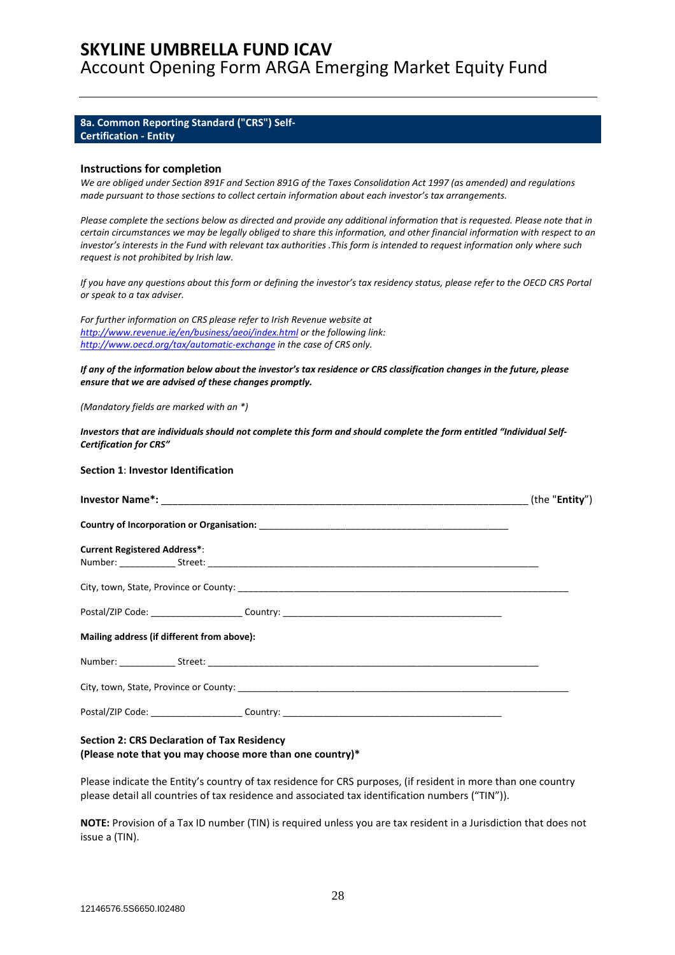### **8a. Common Reporting Standard ("CRS") Self-Certification - Entity**

#### **Instructions for completion**

*We are obliged under Section 891F and Section 891G of the Taxes Consolidation Act 1997 (as amended) and regulations made pursuant to those sections to collect certain information about each investor's tax arrangements.* 

*Please complete the sections below as directed and provide any additional information that is requested. Please note that in certain circumstances we may be legally obliged to share this information, and other financial information with respect to an investor's interests in the Fund with relevant tax authorities .This form is intended to request information only where such request is not prohibited by Irish law.* 

*If you have any questions about this form or defining the investor's tax residency status, please refer to the OECD CRS Portal or speak to a tax adviser.* 

*For further information on CRS please refer to Irish Revenue website at http://www.revenue.ie/en/business/aeoi/index.html or the following link: http://www.oecd.org/tax/automatic-exchange in the case of CRS only.* 

*If any of the information below about the investor's tax residence or CRS classification changes in the future, please ensure that we are advised of these changes promptly.* 

*(Mandatory fields are marked with an \*)* 

*Investors that are individuals should not complete this form and should complete the form entitled "Individual Self-Certification for CRS"* 

#### **Section 1**: **Investor Identification**

| <b>Current Registered Address*:</b>                                                                  |  |
|------------------------------------------------------------------------------------------------------|--|
|                                                                                                      |  |
|                                                                                                      |  |
| Mailing address (if different from above):                                                           |  |
|                                                                                                      |  |
| City, town, State, Province or County: New York 2014 19:30 19:30 19:30 19:30 19:30 19:30 19:30 19:30 |  |
| Postal/ZIP Code: ________________________Country: _______________________________                    |  |

#### **Section 2: CRS Declaration of Tax Residency (Please note that you may choose more than one country)\***

Please indicate the Entity's country of tax residence for CRS purposes, (if resident in more than one country please detail all countries of tax residence and associated tax identification numbers ("TIN")).

**NOTE:** Provision of a Tax ID number (TIN) is required unless you are tax resident in a Jurisdiction that does not issue a (TIN).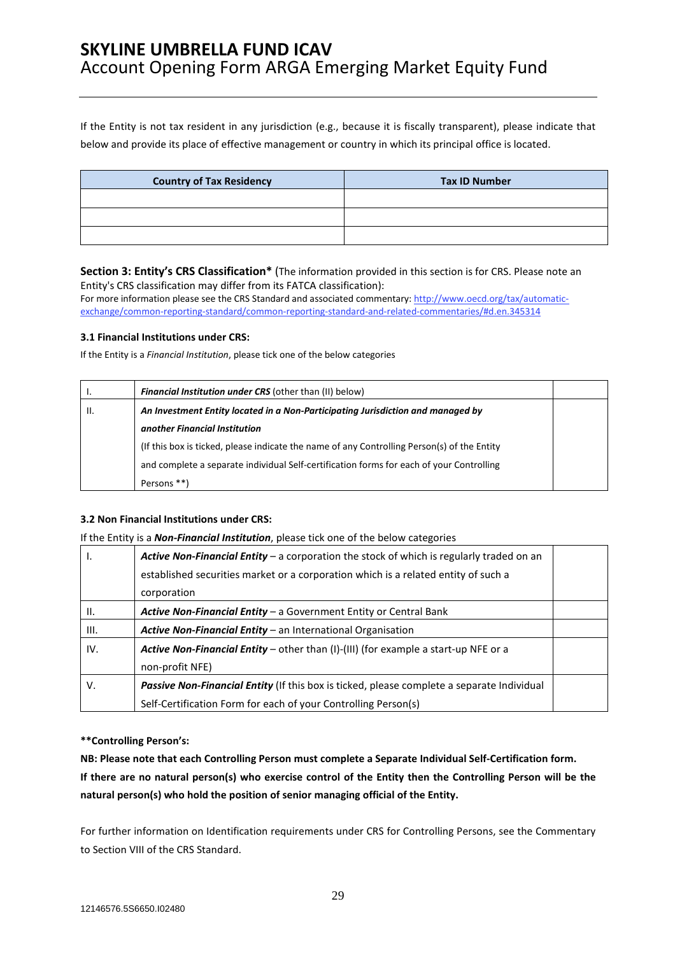If the Entity is not tax resident in any jurisdiction (e.g., because it is fiscally transparent), please indicate that below and provide its place of effective management or country in which its principal office is located.

| <b>Country of Tax Residency</b> | <b>Tax ID Number</b> |
|---------------------------------|----------------------|
|                                 |                      |
|                                 |                      |
|                                 |                      |

### **Section 3: Entity's CRS Classification\*** (The information provided in this section is for CRS. Please note an Entity's CRS classification may differ from its FATCA classification):

For more information please see the CRS Standard and associated commentary: http://www.oecd.org/tax/automaticexchange/common-reporting-standard/common-reporting-standard-and-related-commentaries/#d.en.345314

### **3.1 Financial Institutions under CRS:**

If the Entity is a *Financial Institution*, please tick one of the below categories

| ., | <b>Financial Institution under CRS</b> (other than (II) below)                              |  |
|----|---------------------------------------------------------------------------------------------|--|
| Ш. | An Investment Entity located in a Non-Participating Jurisdiction and managed by             |  |
|    | another Financial Institution                                                               |  |
|    | (If this box is ticked, please indicate the name of any Controlling Person(s) of the Entity |  |
|    | and complete a separate individual Self-certification forms for each of your Controlling    |  |
|    | Persons **)                                                                                 |  |

### **3.2 Non Financial Institutions under CRS:**

### If the Entity is a *Non-Financial Institution*, please tick one of the below categories

| ъ.   | Active Non-Financial Entity – a corporation the stock of which is regularly traded on an   |  |  |
|------|--------------------------------------------------------------------------------------------|--|--|
|      | established securities market or a corporation which is a related entity of such a         |  |  |
|      | corporation                                                                                |  |  |
| Ш.   | Active Non-Financial Entity - a Government Entity or Central Bank                          |  |  |
| III. | Active Non-Financial Entity - an International Organisation                                |  |  |
| IV.  | <b>Active Non-Financial Entity</b> – other than (I)-(III) (for example a start-up NFE or a |  |  |
|      | non-profit NFE)                                                                            |  |  |
| V.   | Passive Non-Financial Entity (If this box is ticked, please complete a separate Individual |  |  |
|      | Self-Certification Form for each of your Controlling Person(s)                             |  |  |

### **\*\*Controlling Person's:**

**NB: Please note that each Controlling Person must complete a Separate Individual Self-Certification form. If there are no natural person(s) who exercise control of the Entity then the Controlling Person will be the natural person(s) who hold the position of senior managing official of the Entity.** 

For further information on Identification requirements under CRS for Controlling Persons, see the Commentary to Section VIII of the CRS Standard.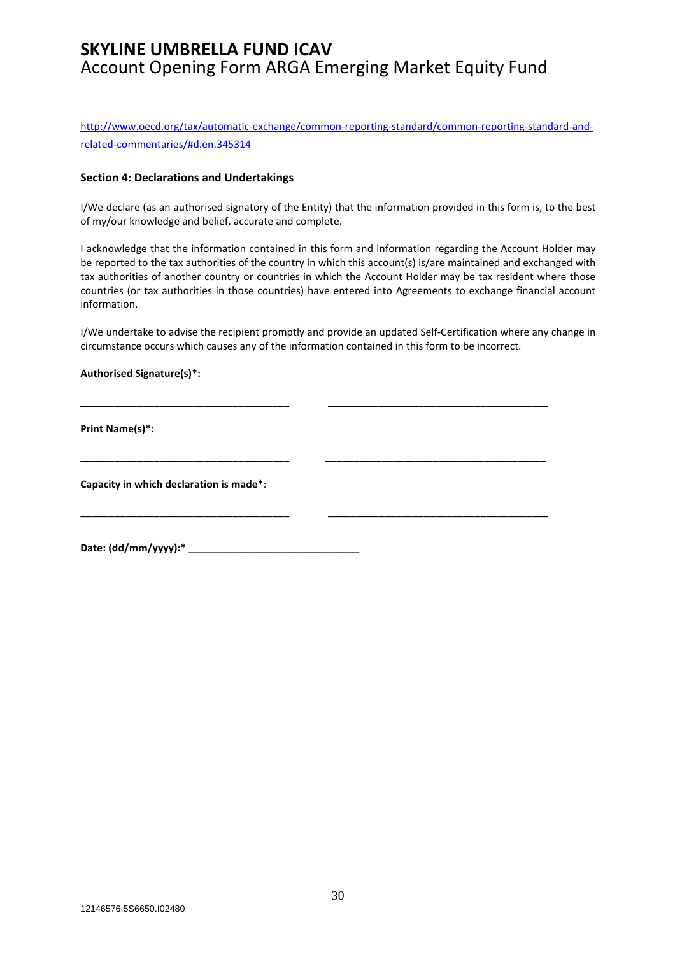http://www.oecd.org/tax/automatic-exchange/common-reporting-standard/common-reporting-standard-andrelated-commentaries/#d.en.345314

### **Section 4: Declarations and Undertakings**

I/We declare (as an authorised signatory of the Entity) that the information provided in this form is, to the best of my/our knowledge and belief, accurate and complete.

I acknowledge that the information contained in this form and information regarding the Account Holder may be reported to the tax authorities of the country in which this account(s) is/are maintained and exchanged with tax authorities of another country or countries in which the Account Holder may be tax resident where those countries (or tax authorities in those countries) have entered into Agreements to exchange financial account information.

I/We undertake to advise the recipient promptly and provide an updated Self-Certification where any change in circumstance occurs which causes any of the information contained in this form to be incorrect.

\_\_\_\_\_\_\_\_\_\_\_\_\_\_\_\_\_\_\_\_\_\_\_\_\_\_\_\_\_\_\_\_\_\_\_\_\_ \_\_\_\_\_\_\_\_\_\_\_\_\_\_\_\_\_\_\_\_\_\_\_\_\_\_\_\_\_\_\_\_\_\_\_\_\_\_\_

\_\_\_\_\_\_\_\_\_\_\_\_\_\_\_\_\_\_\_\_\_\_\_\_\_\_\_\_\_\_\_\_\_\_\_\_\_ \_\_\_\_\_\_\_\_\_\_\_\_\_\_\_\_\_\_\_\_\_\_\_\_\_\_\_\_\_\_\_\_\_\_\_\_\_\_\_

\_\_\_\_\_\_\_\_\_\_\_\_\_\_\_\_\_\_\_\_\_\_\_\_\_\_\_\_\_\_\_\_\_\_\_\_\_ \_\_\_\_\_\_\_\_\_\_\_\_\_\_\_\_\_\_\_\_\_\_\_\_\_\_\_\_\_\_\_\_\_\_\_\_\_\_\_

### **Authorised Signature(s)\*:**

**Print Name(s)\*:** 

**Capacity in which declaration is made\***:

**Date: (dd/mm/yyyy):\*** \_\_\_\_\_\_\_\_\_\_\_\_\_\_\_\_\_\_\_\_\_\_\_\_\_\_\_\_\_\_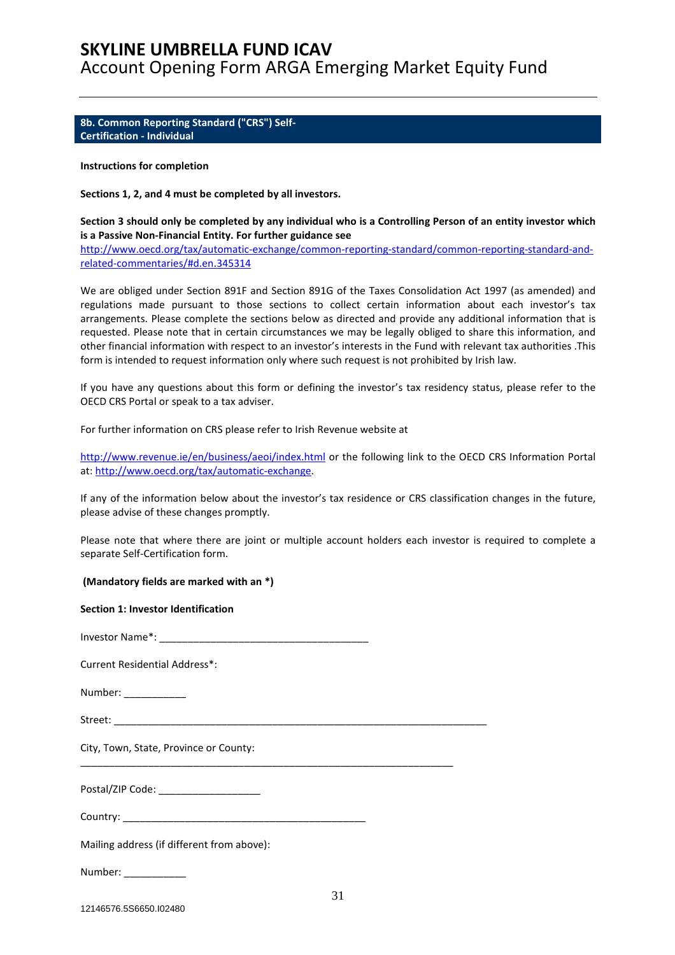**8b. Common Reporting Standard ("CRS") Self-Certification - Individual** 

#### **Instructions for completion**

**Sections 1, 2, and 4 must be completed by all investors.** 

**Section 3 should only be completed by any individual who is a Controlling Person of an entity investor which is a Passive Non-Financial Entity. For further guidance see** 

http://www.oecd.org/tax/automatic-exchange/common-reporting-standard/common-reporting-standard-andrelated-commentaries/#d.en.345314

We are obliged under Section 891F and Section 891G of the Taxes Consolidation Act 1997 (as amended) and regulations made pursuant to those sections to collect certain information about each investor's tax arrangements. Please complete the sections below as directed and provide any additional information that is requested. Please note that in certain circumstances we may be legally obliged to share this information, and other financial information with respect to an investor's interests in the Fund with relevant tax authorities .This form is intended to request information only where such request is not prohibited by Irish law.

If you have any questions about this form or defining the investor's tax residency status, please refer to the OECD CRS Portal or speak to a tax adviser.

For further information on CRS please refer to Irish Revenue website at

http://www.revenue.ie/en/business/aeoi/index.html or the following link to the OECD CRS Information Portal at: http://www.oecd.org/tax/automatic-exchange.

If any of the information below about the investor's tax residence or CRS classification changes in the future, please advise of these changes promptly.

Please note that where there are joint or multiple account holders each investor is required to complete a separate Self-Certification form.

 **(Mandatory fields are marked with an \*)** 

#### **Section 1: Investor Identification**

Investor Name\*: \_\_\_\_\_\_\_\_\_\_\_\_\_\_\_\_\_\_\_\_\_\_\_\_\_\_\_\_\_\_\_\_\_\_\_\_\_

Current Residential Address\*:

Number:

Street:

City, Town, State, Province or County:

Postal/ZIP Code:

Country: \_\_\_\_\_\_\_\_\_\_\_\_\_\_\_\_\_\_\_\_\_\_\_\_\_\_\_\_\_\_\_\_\_\_\_\_\_\_\_\_\_\_\_

\_\_\_\_\_\_\_\_\_\_\_\_\_\_\_\_\_\_\_\_\_\_\_\_\_\_\_\_\_\_\_\_\_\_\_\_\_\_\_\_\_\_\_\_\_\_\_\_\_\_\_\_\_\_\_\_\_\_\_\_\_\_\_\_\_\_

Mailing address (if different from above):

Number: \_\_\_\_\_\_\_\_\_\_\_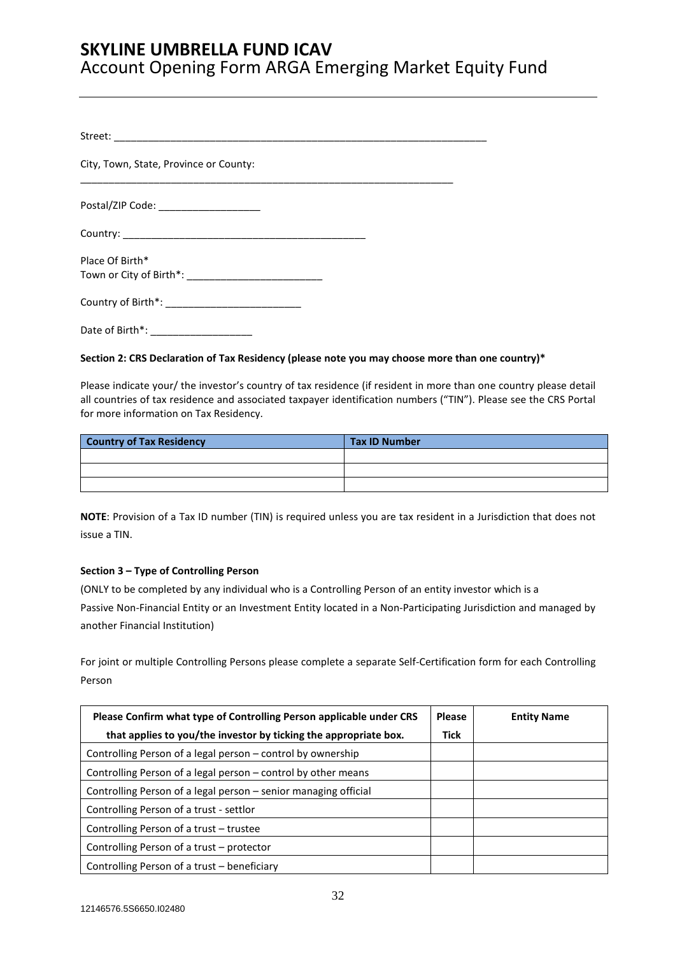| City, Town, State, Province or County: |  |
|----------------------------------------|--|
| Postal/ZIP Code: _____________________ |  |
|                                        |  |
| Place Of Birth*                        |  |
|                                        |  |
| Date of Birth*:                        |  |

### **Section 2: CRS Declaration of Tax Residency (please note you may choose more than one country)\***

Please indicate your/ the investor's country of tax residence (if resident in more than one country please detail all countries of tax residence and associated taxpayer identification numbers ("TIN"). Please see the CRS Portal for more information on Tax Residency.

| <b>Country of Tax Residency</b> | <b>Tax ID Number</b> |
|---------------------------------|----------------------|
|                                 |                      |
|                                 |                      |
|                                 |                      |

**NOTE**: Provision of a Tax ID number (TIN) is required unless you are tax resident in a Jurisdiction that does not issue a TIN.

### **Section 3 – Type of Controlling Person**

(ONLY to be completed by any individual who is a Controlling Person of an entity investor which is a Passive Non-Financial Entity or an Investment Entity located in a Non-Participating Jurisdiction and managed by another Financial Institution)

For joint or multiple Controlling Persons please complete a separate Self-Certification form for each Controlling Person

| Please Confirm what type of Controlling Person applicable under CRS |             | <b>Entity Name</b> |
|---------------------------------------------------------------------|-------------|--------------------|
| that applies to you/the investor by ticking the appropriate box.    | <b>Tick</b> |                    |
| Controlling Person of a legal person – control by ownership         |             |                    |
| Controlling Person of a legal person – control by other means       |             |                    |
| Controlling Person of a legal person – senior managing official     |             |                    |
| Controlling Person of a trust - settlor                             |             |                    |
| Controlling Person of a trust – trustee                             |             |                    |
| Controlling Person of a trust – protector                           |             |                    |
| Controlling Person of a trust – beneficiary                         |             |                    |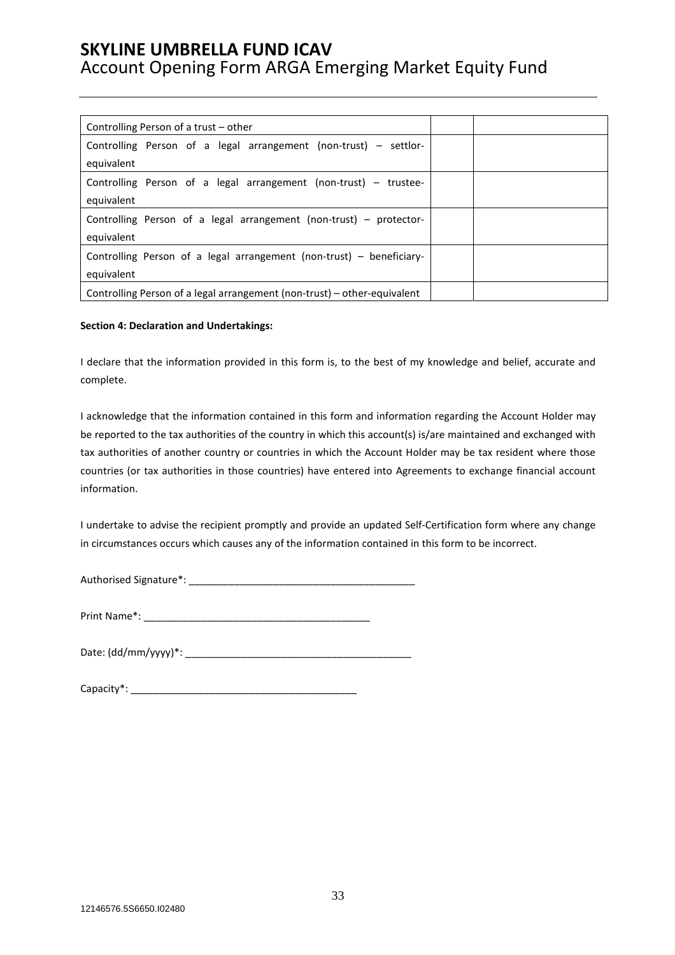| Controlling Person of a trust – other                                    |  |
|--------------------------------------------------------------------------|--|
| Controlling Person of a legal arrangement (non-trust) – settlor-         |  |
| equivalent                                                               |  |
| Controlling Person of a legal arrangement (non-trust) – trustee-         |  |
| equivalent                                                               |  |
| Controlling Person of a legal arrangement (non-trust) – protector-       |  |
| equivalent                                                               |  |
| Controlling Person of a legal arrangement (non-trust) – beneficiary-     |  |
| equivalent                                                               |  |
| Controlling Person of a legal arrangement (non-trust) – other-equivalent |  |

### **Section 4: Declaration and Undertakings:**

I declare that the information provided in this form is, to the best of my knowledge and belief, accurate and complete.

I acknowledge that the information contained in this form and information regarding the Account Holder may be reported to the tax authorities of the country in which this account(s) is/are maintained and exchanged with tax authorities of another country or countries in which the Account Holder may be tax resident where those countries (or tax authorities in those countries) have entered into Agreements to exchange financial account information.

I undertake to advise the recipient promptly and provide an updated Self-Certification form where any change in circumstances occurs which causes any of the information contained in this form to be incorrect.

Authorised Signature\*: \_\_\_\_\_\_\_\_\_\_\_\_\_\_\_\_\_\_\_\_\_\_\_\_\_\_\_\_\_\_\_\_\_\_\_\_\_\_\_\_

Print Name\*: \_\_\_\_\_\_\_\_\_\_\_\_\_\_\_\_\_\_\_\_\_\_\_\_\_\_\_\_\_\_\_\_\_\_\_\_\_\_\_\_

| Date: (dd/mm/yyyy)*: |
|----------------------|
|----------------------|

| Capacity*: |  |
|------------|--|
|------------|--|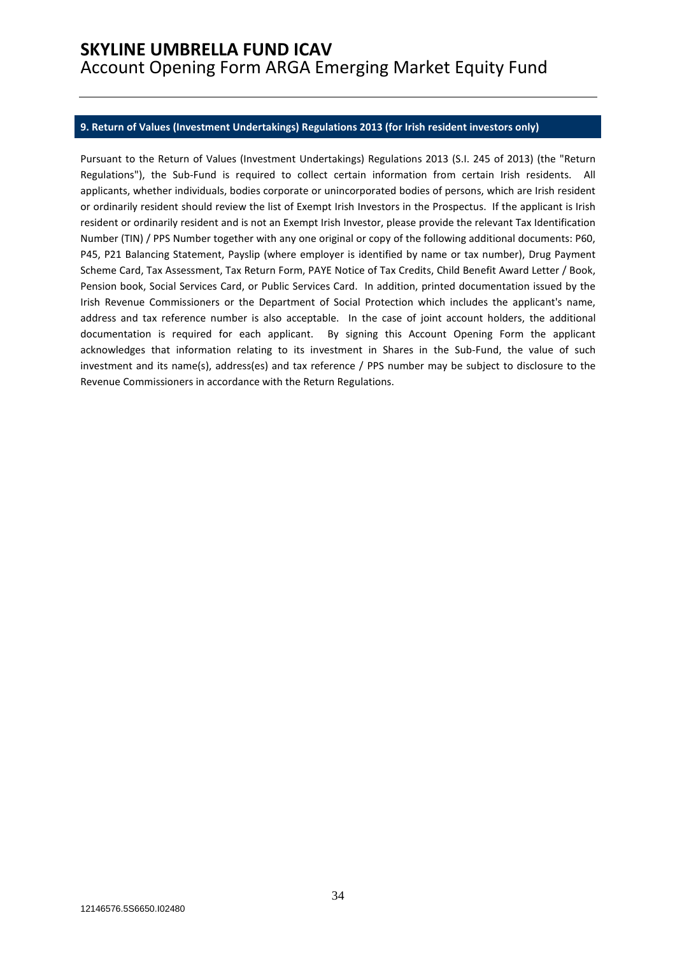### **9. Return of Values (Investment Undertakings) Regulations 2013 (for Irish resident investors only)**

Pursuant to the Return of Values (Investment Undertakings) Regulations 2013 (S.I. 245 of 2013) (the "Return Regulations"), the Sub-Fund is required to collect certain information from certain Irish residents. All applicants, whether individuals, bodies corporate or unincorporated bodies of persons, which are Irish resident or ordinarily resident should review the list of Exempt Irish Investors in the Prospectus. If the applicant is Irish resident or ordinarily resident and is not an Exempt Irish Investor, please provide the relevant Tax Identification Number (TIN) / PPS Number together with any one original or copy of the following additional documents: P60, P45, P21 Balancing Statement, Payslip (where employer is identified by name or tax number), Drug Payment Scheme Card, Tax Assessment, Tax Return Form, PAYE Notice of Tax Credits, Child Benefit Award Letter / Book, Pension book, Social Services Card, or Public Services Card. In addition, printed documentation issued by the Irish Revenue Commissioners or the Department of Social Protection which includes the applicant's name, address and tax reference number is also acceptable. In the case of joint account holders, the additional documentation is required for each applicant. By signing this Account Opening Form the applicant acknowledges that information relating to its investment in Shares in the Sub-Fund, the value of such investment and its name(s), address(es) and tax reference / PPS number may be subject to disclosure to the Revenue Commissioners in accordance with the Return Regulations.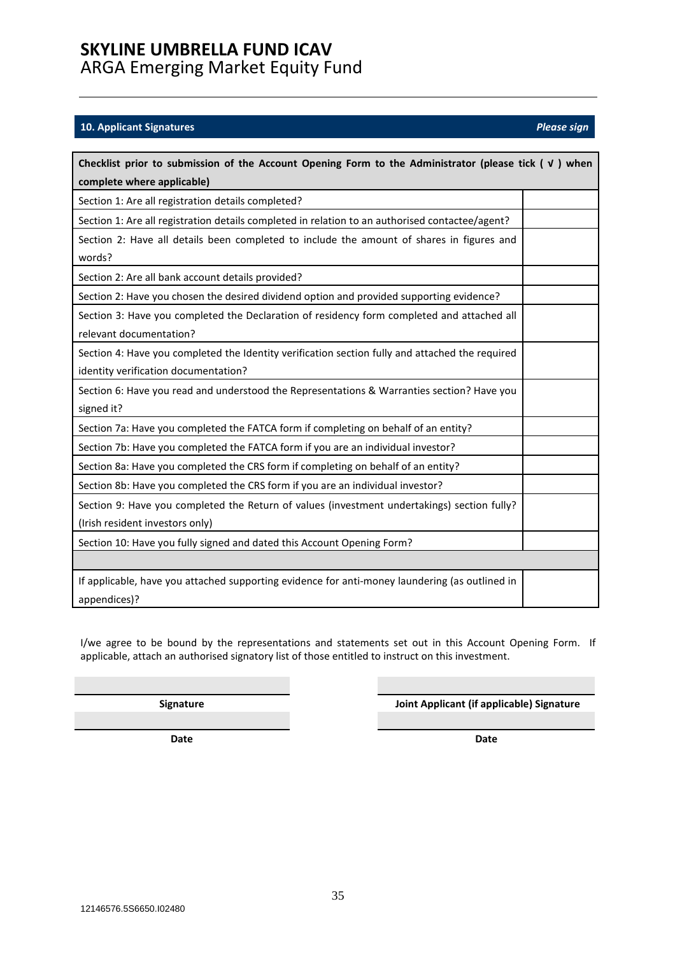## **SKYLINE UMBRELLA FUND ICAV**

ARGA Emerging Market Equity Fund 

### **10. Applicant Signatures** *Please sign*

| Checklist prior to submission of the Account Opening Form to the Administrator (please tick $(y)$ when                                  |  |  |  |
|-----------------------------------------------------------------------------------------------------------------------------------------|--|--|--|
| complete where applicable)                                                                                                              |  |  |  |
| Section 1: Are all registration details completed?                                                                                      |  |  |  |
| Section 1: Are all registration details completed in relation to an authorised contactee/agent?                                         |  |  |  |
| Section 2: Have all details been completed to include the amount of shares in figures and<br>words?                                     |  |  |  |
| Section 2: Are all bank account details provided?                                                                                       |  |  |  |
| Section 2: Have you chosen the desired dividend option and provided supporting evidence?                                                |  |  |  |
| Section 3: Have you completed the Declaration of residency form completed and attached all<br>relevant documentation?                   |  |  |  |
| Section 4: Have you completed the Identity verification section fully and attached the required<br>identity verification documentation? |  |  |  |
| Section 6: Have you read and understood the Representations & Warranties section? Have you<br>signed it?                                |  |  |  |
| Section 7a: Have you completed the FATCA form if completing on behalf of an entity?                                                     |  |  |  |
| Section 7b: Have you completed the FATCA form if you are an individual investor?                                                        |  |  |  |
| Section 8a: Have you completed the CRS form if completing on behalf of an entity?                                                       |  |  |  |
| Section 8b: Have you completed the CRS form if you are an individual investor?                                                          |  |  |  |
| Section 9: Have you completed the Return of values (investment undertakings) section fully?<br>(Irish resident investors only)          |  |  |  |
| Section 10: Have you fully signed and dated this Account Opening Form?                                                                  |  |  |  |
|                                                                                                                                         |  |  |  |
| If applicable, have you attached supporting evidence for anti-money laundering (as outlined in<br>appendices)?                          |  |  |  |

I/we agree to be bound by the representations and statements set out in this Account Opening Form. If applicable, attach an authorised signatory list of those entitled to instruct on this investment.

**Signature Joint Applicant (if applicable) Signature** 

**Date** Date **Date Date Date**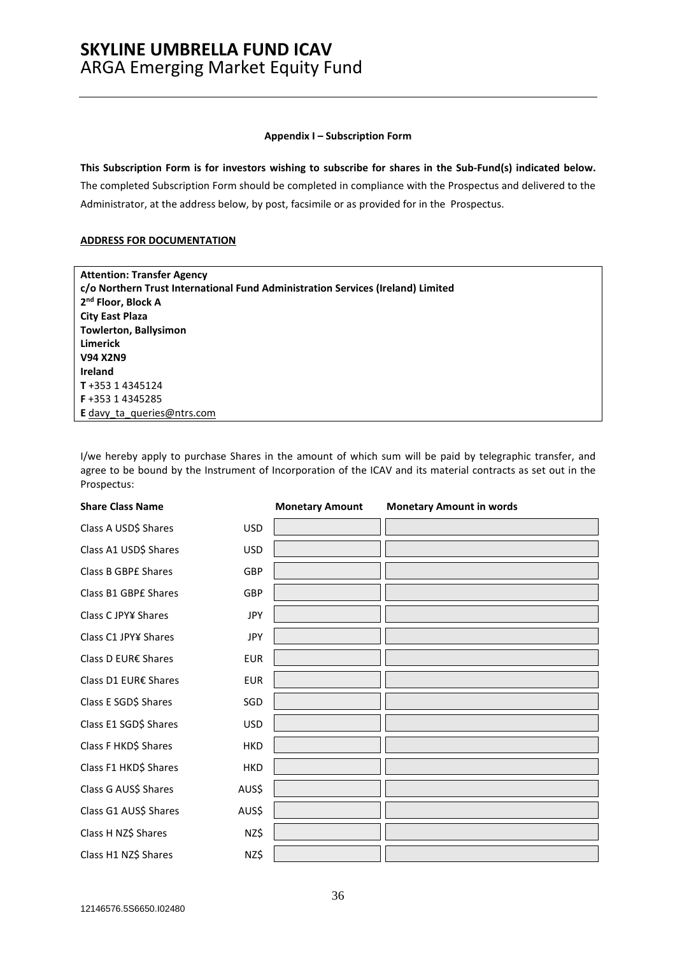#### **Appendix I – Subscription Form**

**This Subscription Form is for investors wishing to subscribe for shares in the Sub-Fund(s) indicated below.** 

The completed Subscription Form should be completed in compliance with the Prospectus and delivered to the Administrator, at the address below, by post, facsimile or as provided for in the Prospectus.

### **ADDRESS FOR DOCUMENTATION**

| <b>Attention: Transfer Agency</b>                                               |
|---------------------------------------------------------------------------------|
| c/o Northern Trust International Fund Administration Services (Ireland) Limited |
| 2 <sup>nd</sup> Floor, Block A                                                  |
| <b>City East Plaza</b>                                                          |
| <b>Towlerton, Ballysimon</b>                                                    |
| <b>Limerick</b>                                                                 |
| <b>V94 X2N9</b>                                                                 |
| <b>Ireland</b>                                                                  |
| T+353 14345124                                                                  |
| <b>F</b> +353 1 4345285                                                         |
| <b>E</b> davy ta queries@ntrs.com                                               |

I/we hereby apply to purchase Shares in the amount of which sum will be paid by telegraphic transfer, and agree to be bound by the Instrument of Incorporation of the ICAV and its material contracts as set out in the Prospectus:

| <b>Share Class Name</b>    |            | <b>Monetary Amount</b> | <b>Monetary Amount in words</b> |
|----------------------------|------------|------------------------|---------------------------------|
| Class A USD\$ Shares       | <b>USD</b> |                        |                                 |
| Class A1 USD\$ Shares      | <b>USD</b> |                        |                                 |
| <b>Class B GBPE Shares</b> | <b>GBP</b> |                        |                                 |
| Class B1 GBPE Shares       | GBP        |                        |                                 |
| Class C JPY¥ Shares        | <b>JPY</b> |                        |                                 |
| Class C1 JPY¥ Shares       | <b>JPY</b> |                        |                                 |
| Class D EUR€ Shares        | <b>EUR</b> |                        |                                 |
| Class D1 EUR€ Shares       | <b>EUR</b> |                        |                                 |
| Class E SGD\$ Shares       | SGD        |                        |                                 |
| Class E1 SGD\$ Shares      | <b>USD</b> |                        |                                 |
| Class F HKD\$ Shares       | <b>HKD</b> |                        |                                 |
| Class F1 HKD\$ Shares      | <b>HKD</b> |                        |                                 |
| Class G AUS\$ Shares       | AUS\$      |                        |                                 |
| Class G1 AUS\$ Shares      | AUS\$      |                        |                                 |
| Class H NZ\$ Shares        | NZ\$       |                        |                                 |
| Class H1 NZ\$ Shares       | NZ\$       |                        |                                 |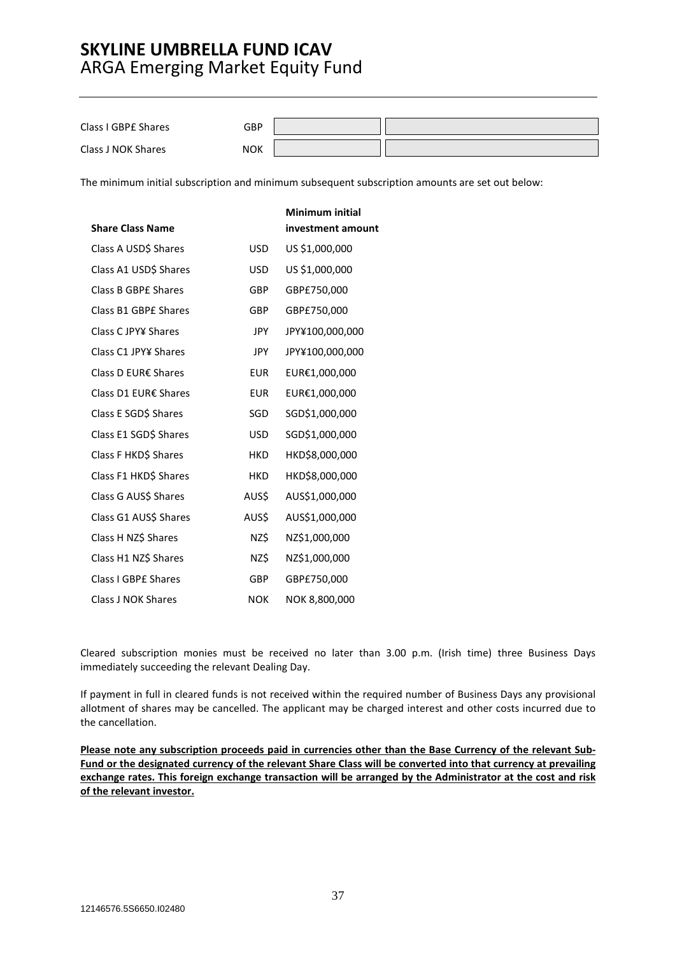| Class I GBPE Shares | GBP        |  |
|---------------------|------------|--|
| Class J NOK Shares  | <b>NOK</b> |  |

The minimum initial subscription and minimum subsequent subscription amounts are set out below:

|                         |            | <b>Minimum initial</b> |
|-------------------------|------------|------------------------|
| <b>Share Class Name</b> |            | investment amount      |
| Class A USD\$ Shares    | <b>USD</b> | US \$1,000,000         |
| Class A1 USD\$ Shares   | <b>USD</b> | US \$1,000,000         |
| Class B GBPE Shares     | GBP        | GBP£750,000            |
| Class B1 GBPE Shares    | <b>GBP</b> | GBP£750,000            |
| Class C JPY¥ Shares     | <b>JPY</b> | JPY¥100,000,000        |
| Class C1 JPY¥ Shares    | <b>JPY</b> | JPY¥100,000,000        |
| Class D EUR€ Shares     | <b>EUR</b> | EUR€1,000,000          |
| Class D1 EUR€ Shares    | <b>EUR</b> | EUR€1,000,000          |
| Class E SGD\$ Shares    | SGD        | SGD\$1,000,000         |
| Class E1 SGD\$ Shares   | <b>USD</b> | SGD\$1,000,000         |
| Class F HKD\$ Shares    | <b>HKD</b> | HKD\$8,000,000         |
| Class F1 HKD\$ Shares   | <b>HKD</b> | HKD\$8,000,000         |
| Class G AUS\$ Shares    | AUS\$      | AUS\$1,000,000         |
| Class G1 AUS\$ Shares   | AUS\$      | AUS\$1,000,000         |
| Class H NZ\$ Shares     | NZ\$       | NZ\$1,000,000          |
| Class H1 NZ\$ Shares    | NZ\$       | NZ\$1,000,000          |
| Class I GBPE Shares     | <b>GBP</b> | GBP£750,000            |
| Class J NOK Shares      | <b>NOK</b> | NOK 8,800,000          |

Cleared subscription monies must be received no later than 3.00 p.m. (Irish time) three Business Days immediately succeeding the relevant Dealing Day.

If payment in full in cleared funds is not received within the required number of Business Days any provisional allotment of shares may be cancelled. The applicant may be charged interest and other costs incurred due to the cancellation.

**Please note any subscription proceeds paid in currencies other than the Base Currency of the relevant Sub-Fund or the designated currency of the relevant Share Class will be converted into that currency at prevailing exchange rates. This foreign exchange transaction will be arranged by the Administrator at the cost and risk of the relevant investor.**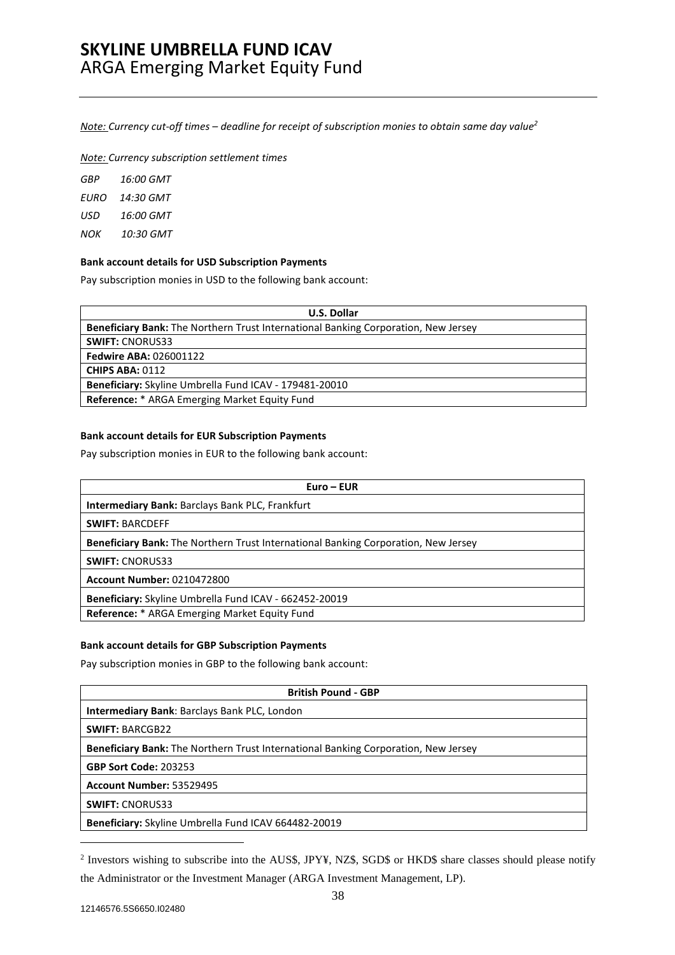*Note: Currency cut-off times – deadline for receipt of subscription monies to obtain same day value2*

*Note: Currency subscription settlement times* 

| GBP  | 16:00 GMT |
|------|-----------|
| EURO | 14:30 GMT |
| USD  | 16:00 GMT |
| NOK  | 10:30 GMT |

### **Bank account details for USD Subscription Payments**

Pay subscription monies in USD to the following bank account:

| <b>U.S. Dollar</b>                                                                 |  |  |
|------------------------------------------------------------------------------------|--|--|
| Beneficiary Bank: The Northern Trust International Banking Corporation, New Jersey |  |  |
| <b>SWIFT: CNORUS33</b>                                                             |  |  |
| <b>Fedwire ABA: 026001122</b>                                                      |  |  |
| <b>CHIPS ABA: 0112</b>                                                             |  |  |
| Beneficiary: Skyline Umbrella Fund ICAV - 179481-20010                             |  |  |
| <b>Reference:</b> * ARGA Emerging Market Equity Fund                               |  |  |

### **Bank account details for EUR Subscription Payments**

Pay subscription monies in EUR to the following bank account:

| Euro – EUR                                                                                |
|-------------------------------------------------------------------------------------------|
| <b>Intermediary Bank: Barclays Bank PLC, Frankfurt</b>                                    |
| <b>SWIFT: BARCDEFF</b>                                                                    |
| <b>Beneficiary Bank:</b> The Northern Trust International Banking Corporation, New Jersey |
| <b>SWIFT: CNORUS33</b>                                                                    |
| <b>Account Number: 0210472800</b>                                                         |
| Beneficiary: Skyline Umbrella Fund ICAV - 662452-20019                                    |
| Reference: * ARGA Emerging Market Equity Fund                                             |

### **Bank account details for GBP Subscription Payments**

Pay subscription monies in GBP to the following bank account:

| <b>British Pound - GBP</b>                                                                |
|-------------------------------------------------------------------------------------------|
| <b>Intermediary Bank: Barclays Bank PLC, London</b>                                       |
| <b>SWIFT: BARCGB22</b>                                                                    |
| <b>Beneficiary Bank:</b> The Northern Trust International Banking Corporation, New Jersey |
| <b>GBP Sort Code: 203253</b>                                                              |
| Account Number: 53529495                                                                  |
| <b>SWIFT: CNORUS33</b>                                                                    |
| <b>Beneficiary:</b> Skyline Umbrella Fund ICAV 664482-20019                               |

<sup>&</sup>lt;sup>2</sup> Investors wishing to subscribe into the AUS\$, JPY¥, NZ\$, SGD\$ or HKD\$ share classes should please notify the Administrator or the Investment Manager (ARGA Investment Management, LP).

 $\overline{a}$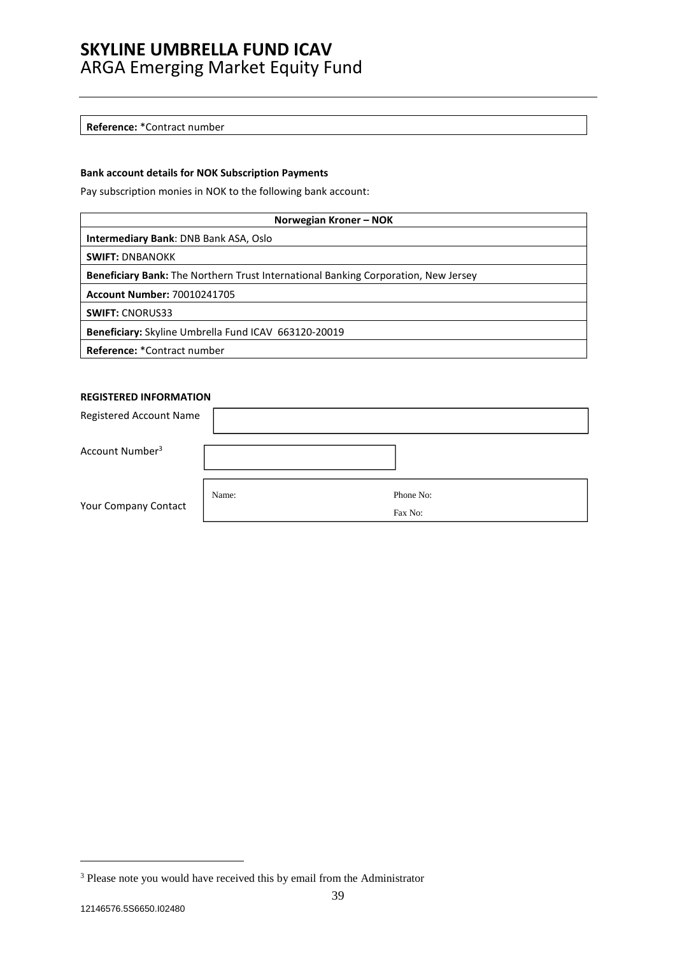#### **Reference:** \*Contract number

### **Bank account details for NOK Subscription Payments**

Pay subscription monies in NOK to the following bank account:

| Norwegian Kroner - NOK                                                                    |  |  |  |
|-------------------------------------------------------------------------------------------|--|--|--|
| <b>Intermediary Bank: DNB Bank ASA, Oslo</b>                                              |  |  |  |
| <b>SWIFT: DNBANOKK</b>                                                                    |  |  |  |
| <b>Beneficiary Bank:</b> The Northern Trust International Banking Corporation, New Jersey |  |  |  |
| <b>Account Number: 70010241705</b>                                                        |  |  |  |
| <b>SWIFT: CNORUS33</b>                                                                    |  |  |  |
| Beneficiary: Skyline Umbrella Fund ICAV 663120-20019                                      |  |  |  |
| Reference: *Contract number                                                               |  |  |  |

### **REGISTERED INFORMATION**

| Registered Account Name     |       |                      |
|-----------------------------|-------|----------------------|
| Account Number <sup>3</sup> |       |                      |
| Your Company Contact        | Name: | Phone No:<br>Fax No: |
|                             |       |                      |

 $\overline{a}$ 

<sup>&</sup>lt;sup>3</sup> Please note you would have received this by email from the Administrator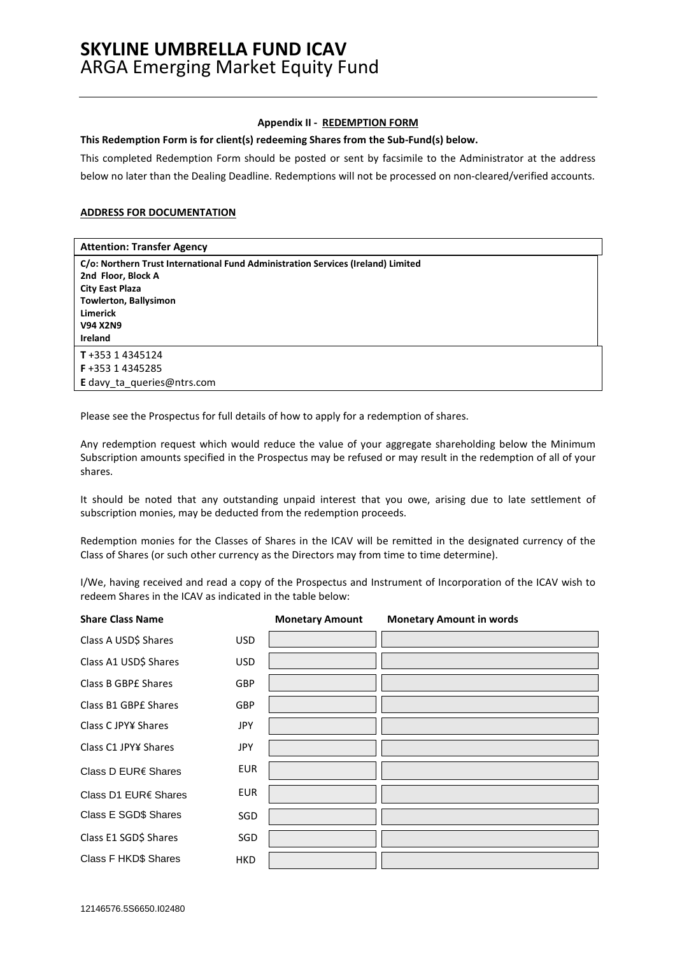#### **Appendix II - REDEMPTION FORM**

**This Redemption Form is for client(s) redeeming Shares from the Sub-Fund(s) below.** 

This completed Redemption Form should be posted or sent by facsimile to the Administrator at the address below no later than the Dealing Deadline. Redemptions will not be processed on non-cleared/verified accounts.

### **ADDRESS FOR DOCUMENTATION**

| <b>Attention: Transfer Agency</b>                                                |
|----------------------------------------------------------------------------------|
| C/o: Northern Trust International Fund Administration Services (Ireland) Limited |
| 2nd Floor, Block A                                                               |
| <b>City East Plaza</b>                                                           |
| Towlerton, Ballysimon                                                            |
| <b>Limerick</b>                                                                  |
| <b>V94 X2N9</b>                                                                  |
| <b>Ireland</b>                                                                   |
| $T + 35314345124$                                                                |
| F+353 14345285                                                                   |
| <b>E</b> davy ta queries@ntrs.com                                                |

Please see the Prospectus for full details of how to apply for a redemption of shares.

Any redemption request which would reduce the value of your aggregate shareholding below the Minimum Subscription amounts specified in the Prospectus may be refused or may result in the redemption of all of your shares.

It should be noted that any outstanding unpaid interest that you owe, arising due to late settlement of subscription monies, may be deducted from the redemption proceeds.

Redemption monies for the Classes of Shares in the ICAV will be remitted in the designated currency of the Class of Shares (or such other currency as the Directors may from time to time determine).

I/We, having received and read a copy of the Prospectus and Instrument of Incorporation of the ICAV wish to redeem Shares in the ICAV as indicated in the table below:

| <b>Share Class Name</b> |            | <b>Monetary Amount</b> | <b>Monetary Amount in words</b> |
|-------------------------|------------|------------------------|---------------------------------|
| Class A USD\$ Shares    | <b>USD</b> |                        |                                 |
| Class A1 USD\$ Shares   | <b>USD</b> |                        |                                 |
| Class B GBPE Shares     | <b>GBP</b> |                        |                                 |
| Class B1 GBPE Shares    | <b>GBP</b> |                        |                                 |
| Class C JPY¥ Shares     | <b>JPY</b> |                        |                                 |
| Class C1 JPY¥ Shares    | <b>JPY</b> |                        |                                 |
| Class D EUR€ Shares     | <b>EUR</b> |                        |                                 |
| Class D1 EUR€ Shares    | <b>EUR</b> |                        |                                 |
| Class E SGD\$ Shares    | SGD        |                        |                                 |
| Class E1 SGD\$ Shares   | SGD        |                        |                                 |
| Class F HKD\$ Shares    | <b>HKD</b> |                        |                                 |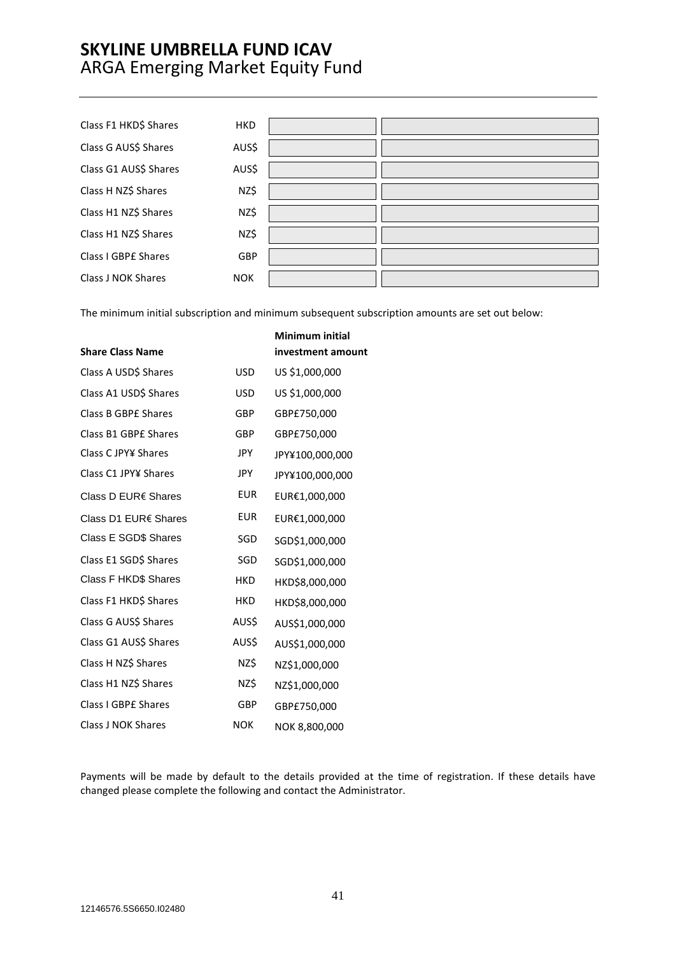| Class F1 HKD\$ Shares | <b>HKD</b> |  |
|-----------------------|------------|--|
| Class G AUS\$ Shares  | AUS\$      |  |
| Class G1 AUS\$ Shares | AUS\$      |  |
| Class H NZ\$ Shares   | NZ\$       |  |
| Class H1 NZ\$ Shares  | NZ\$       |  |
| Class H1 NZ\$ Shares  | NZ\$       |  |
| Class I GBPE Shares   | GBP        |  |
| Class J NOK Shares    | <b>NOK</b> |  |

The minimum initial subscription and minimum subsequent subscription amounts are set out below:

| <b>Share Class Name</b>     |            | <b>Minimum initial</b><br>investment amount |
|-----------------------------|------------|---------------------------------------------|
| Class A USD\$ Shares        | <b>USD</b> | US \$1,000,000                              |
| Class A1 USD\$ Shares       | <b>USD</b> | US \$1,000,000                              |
| Class B GBPE Shares         | GBP        | GBP£750,000                                 |
| Class B1 GBPE Shares        | GBP        | GBP£750,000                                 |
| Class C JPY¥ Shares         | <b>JPY</b> | JPY¥100,000,000                             |
| Class C1 JPY¥ Shares        | <b>JPY</b> | JPY¥100,000,000                             |
| Class D EUR€ Shares         | <b>EUR</b> | EUR€1,000,000                               |
| Class D1 EUR€ Shares        | <b>EUR</b> | EUR€1,000,000                               |
| Class E SGD\$ Shares        | SGD        | SGD\$1,000,000                              |
| Class E1 SGD\$ Shares       | SGD        | SGD\$1,000,000                              |
| <b>Class F HKD\$ Shares</b> | <b>HKD</b> | HKD\$8,000,000                              |
| Class F1 HKD\$ Shares       | <b>HKD</b> | HKD\$8,000,000                              |
| Class G AUS\$ Shares        | AUS\$      | AUS\$1,000,000                              |
| Class G1 AUS\$ Shares       | AUS\$      | AUS\$1,000,000                              |
| Class H NZ\$ Shares         | NZ\$       | NZ\$1,000,000                               |
| Class H1 NZ\$ Shares        | NZ\$       | NZ\$1,000,000                               |
| Class I GBPE Shares         | GBP        | GBP£750,000                                 |
| Class J NOK Shares          | <b>NOK</b> | NOK 8,800,000                               |

Payments will be made by default to the details provided at the time of registration. If these details have changed please complete the following and contact the Administrator.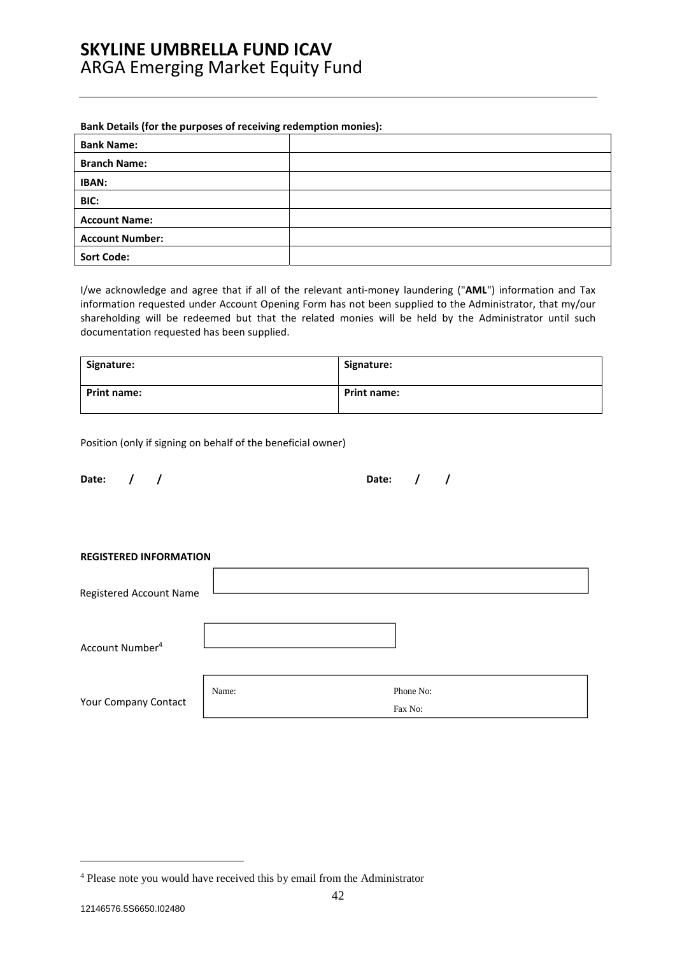### **Bank Details (for the purposes of receiving redemption monies):**

| <b>Bank Name:</b>      |  |
|------------------------|--|
| <b>Branch Name:</b>    |  |
| IBAN:                  |  |
| BIC:                   |  |
| <b>Account Name:</b>   |  |
| <b>Account Number:</b> |  |
| <b>Sort Code:</b>      |  |

I/we acknowledge and agree that if all of the relevant anti-money laundering ("**AML**") information and Tax information requested under Account Opening Form has not been supplied to the Administrator, that my/our shareholding will be redeemed but that the related monies will be held by the Administrator until such documentation requested has been supplied.

| Signature:         | Signature:         |
|--------------------|--------------------|
| <b>Print name:</b> | <b>Print name:</b> |

Position (only if signing on behalf of the beneficial owner)

| Date: |
|-------|
|-------|

| Date: $/$ / |  |  | Date: $/$ / |  |
|-------------|--|--|-------------|--|
|             |  |  |             |  |

**REGISTERED INFORMATION** 

| Registered Account Name     |       |                      |
|-----------------------------|-------|----------------------|
| Account Number <sup>4</sup> |       |                      |
| Your Company Contact        | Name: | Phone No:<br>Fax No: |

 $\overline{a}$ 

<sup>&</sup>lt;sup>4</sup> Please note you would have received this by email from the Administrator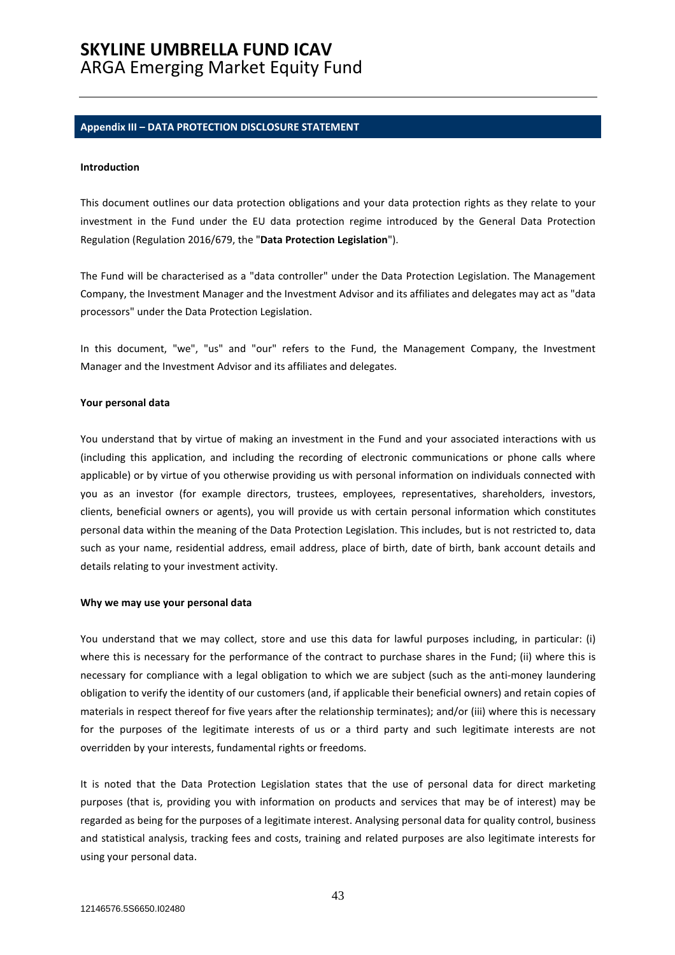# **SKYLINE UMBRELLA FUND ICAV**

### ARGA Emerging Market Equity Fund

#### **Appendix III – DATA PROTECTION DISCLOSURE STATEMENT**

#### **Introduction**

This document outlines our data protection obligations and your data protection rights as they relate to your investment in the Fund under the EU data protection regime introduced by the General Data Protection Regulation (Regulation 2016/679, the "**Data Protection Legislation**").

The Fund will be characterised as a "data controller" under the Data Protection Legislation. The Management Company, the Investment Manager and the Investment Advisor and its affiliates and delegates may act as "data processors" under the Data Protection Legislation.

In this document, "we", "us" and "our" refers to the Fund, the Management Company, the Investment Manager and the Investment Advisor and its affiliates and delegates.

#### **Your personal data**

You understand that by virtue of making an investment in the Fund and your associated interactions with us (including this application, and including the recording of electronic communications or phone calls where applicable) or by virtue of you otherwise providing us with personal information on individuals connected with you as an investor (for example directors, trustees, employees, representatives, shareholders, investors, clients, beneficial owners or agents), you will provide us with certain personal information which constitutes personal data within the meaning of the Data Protection Legislation. This includes, but is not restricted to, data such as your name, residential address, email address, place of birth, date of birth, bank account details and details relating to your investment activity.

#### **Why we may use your personal data**

You understand that we may collect, store and use this data for lawful purposes including, in particular: (i) where this is necessary for the performance of the contract to purchase shares in the Fund; (ii) where this is necessary for compliance with a legal obligation to which we are subject (such as the anti-money laundering obligation to verify the identity of our customers (and, if applicable their beneficial owners) and retain copies of materials in respect thereof for five years after the relationship terminates); and/or (iii) where this is necessary for the purposes of the legitimate interests of us or a third party and such legitimate interests are not overridden by your interests, fundamental rights or freedoms.

It is noted that the Data Protection Legislation states that the use of personal data for direct marketing purposes (that is, providing you with information on products and services that may be of interest) may be regarded as being for the purposes of a legitimate interest. Analysing personal data for quality control, business and statistical analysis, tracking fees and costs, training and related purposes are also legitimate interests for using your personal data.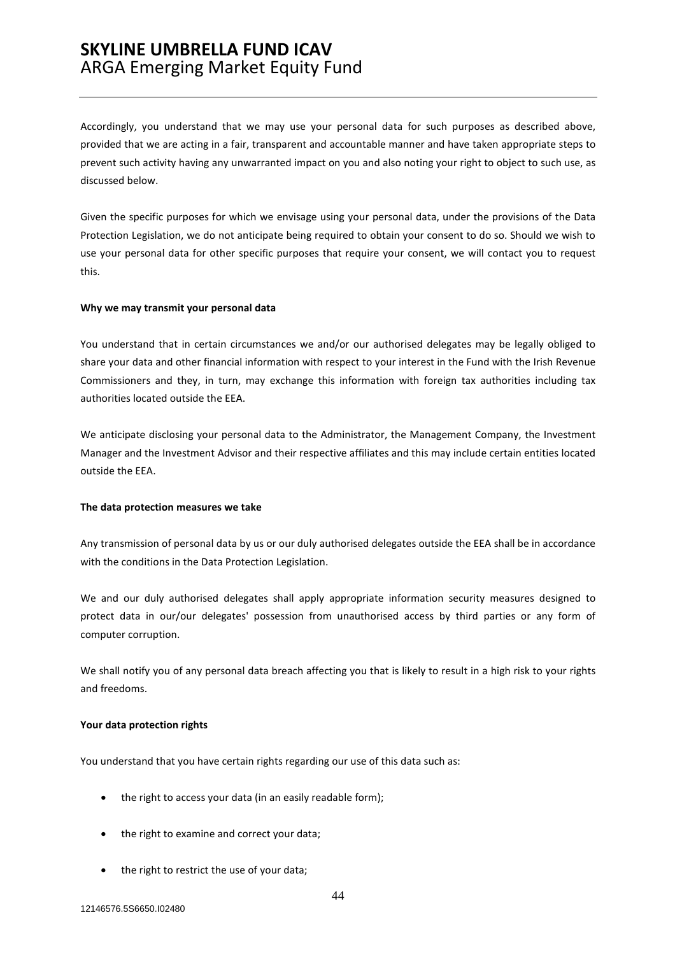Accordingly, you understand that we may use your personal data for such purposes as described above, provided that we are acting in a fair, transparent and accountable manner and have taken appropriate steps to prevent such activity having any unwarranted impact on you and also noting your right to object to such use, as discussed below.

Given the specific purposes for which we envisage using your personal data, under the provisions of the Data Protection Legislation, we do not anticipate being required to obtain your consent to do so. Should we wish to use your personal data for other specific purposes that require your consent, we will contact you to request this.

#### **Why we may transmit your personal data**

You understand that in certain circumstances we and/or our authorised delegates may be legally obliged to share your data and other financial information with respect to your interest in the Fund with the Irish Revenue Commissioners and they, in turn, may exchange this information with foreign tax authorities including tax authorities located outside the EEA.

We anticipate disclosing your personal data to the Administrator, the Management Company, the Investment Manager and the Investment Advisor and their respective affiliates and this may include certain entities located outside the EEA.

#### **The data protection measures we take**

Any transmission of personal data by us or our duly authorised delegates outside the EEA shall be in accordance with the conditions in the Data Protection Legislation.

We and our duly authorised delegates shall apply appropriate information security measures designed to protect data in our/our delegates' possession from unauthorised access by third parties or any form of computer corruption.

We shall notify you of any personal data breach affecting you that is likely to result in a high risk to your rights and freedoms.

#### **Your data protection rights**

You understand that you have certain rights regarding our use of this data such as:

- the right to access your data (in an easily readable form);
- the right to examine and correct your data;
- the right to restrict the use of your data;